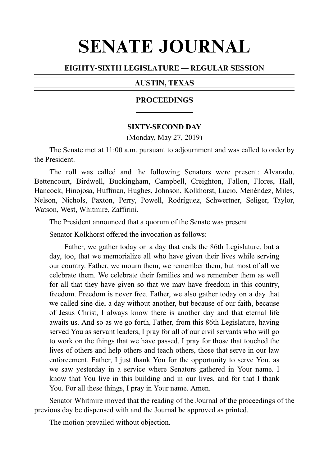# SENATE JOURNAL

# EIGHTY-SIXTH LEGISLATURE — REGULAR SESSION

# AUSTIN, TEXAS

# PROCEEDINGS

# **SIXTY-SECOND DAY**

(Monday, May 27, 2019)

The Senate met at 11:00 a.m. pursuant to adjournment and was called to order by the President.

The roll was called and the following Senators were present: Alvarado, Bettencourt, Birdwell, Buckingham, Campbell, Creighton, Fallon, Flores, Hall, Hancock, Hinojosa, Huffman, Hughes, Johnson, Kolkhorst, Lucio, Menéndez, Miles, Nelson, Nichols, Paxton, Perry, Powell, Rodríguez, Schwertner, Seliger, Taylor, Watson, West, Whitmire, Zaffirini.

The President announced that a quorum of the Senate was present.

Senator Kolkhorst offered the invocation as follows:

Father, we gather today on a day that ends the 86th Legislature, but a day, too, that we memorialize all who have given their lives while serving our country. Father, we mourn them, we remember them, but most of all we celebrate them. We celebrate their families and we remember them as well for all that they have given so that we may have freedom in this country, freedom. Freedom is never free. Father, we also gather today on a day that we called sine die, a day without another, but because of our faith, because of Jesus Christ, I always know there is another day and that eternal life awaits us. And so as we go forth, Father, from this 86th Legislature, having served You as servant leaders, I pray for all of our civil servants who will go to work on the things that we have passed. I pray for those that touched the lives of others and help others and teach others, those that serve in our law enforcement. Father, I just thank You for the opportunity to serve You, as we saw yesterday in a service where Senators gathered in Your name. I know that You live in this building and in our lives, and for that I thank You. For all these things, I pray in Your name. Amen.

Senator Whitmire moved that the reading of the Journal of the proceedings of the previous day be dispensed with and the Journal be approved as printed.

The motion prevailed without objection.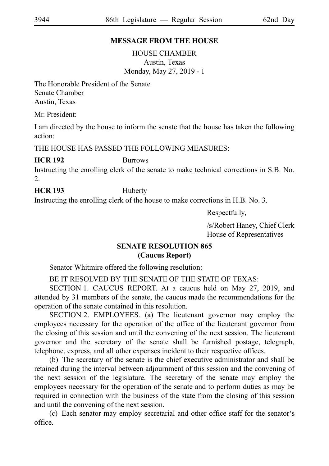# **MESSAGE FROM THE HOUSE**

HOUSE CHAMBER Austin, Texas Monday, May 27, 2019 - 1

The Honorable President of the Senate Senate Chamber Austin, Texas

Mr. President:

I am directed by the house to inform the senate that the house has taken the following action:

THE HOUSE HAS PASSED THE FOLLOWING MEASURES:

# **HCR 192** Burrows

Instructing the enrolling clerk of the senate to make technical corrections in S.B. No.  $2^{\circ}$ 

# **HCR 193** Huberty

Instructing the enrolling clerk of the house to make corrections in H.B. No. 3.

Respectfully,

/s/Robert Haney, Chief Clerk House of Representatives

# **SENATE RESOLUTION 865 (Caucus Report)**

Senator Whitmire offered the following resolution:

BE IT RESOLVED BY THE SENATE OF THE STATE OF TEXAS:

SECTION 1. CAUCUS REPORT. At a caucus held on May 27, 2019, and attended by 31 members of the senate, the caucus made the recommendations for the operation of the senate contained in this resolution.

SECTION 2. EMPLOYEES. (a) The lieutenant governor may employ the employees necessary for the operation of the office of the lieutenant governor from the closing of this session and until the convening of the next session. The lieutenant governor and the secretary of the senate shall be furnished postage, telegraph, telephone, express, and all other expenses incident to their respective offices.

(b) The secretary of the senate is the chief executive administrator and shall be retained during the interval between adjournment of this session and the convening of the next session of the legislature. The secretary of the senate may employ the employees necessary for the operation of the senate and to perform duties as may be required in connection with the business of the state from the closing of this session and until the convening of the next session.

(c) Each senator may employ secretarial and other office staff for the senator's office.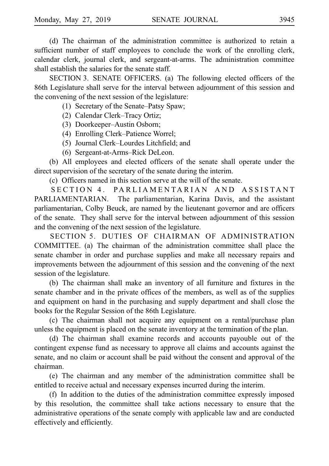(d) The chairman of the administration committee is authorized to retain a sufficient number of staff employees to conclude the work of the enrolling clerk, calendar clerk, journal clerk, and sergeant-at-arms. The administration committee shall establish the salaries for the senate staff.

SECTION 3. SENATE OFFICERS. (a) The following elected officers of the 86th Legislature shall serve for the interval between adjournment of this session and the convening of the next session of the legislature:

(1) Secretary of the Senate–Patsy Spaw;

- (2) Calendar Clerk–Tracy Ortiz;
- (3) Doorkeeper–Austin Osborn;
- (4) Enrolling Clerk–Patience Worrel;
- (5) Journal Clerk–Lourdes Litchfield; and
- (6) Sergeant-at-Arms–Rick DeLeon.

(b) All employees and elected officers of the senate shall operate under the direct supervision of the secretary of the senate during the interim.

(c) Officers named in this section serve at the will of the senate.

SECTION 4. PARLIAMENTARIAN AND ASSISTANT PARLIAMENTARIAN. The parliamentarian, Karina Davis, and the assistant parliamentarian, Colby Beuck, are named by the lieutenant governor and are officers of the senate. They shall serve for the interval between adjournment of this session and the convening of the next session of the legislature.

SECTION 5. DUTIES OF CHAIRMAN OF ADMINISTRATION COMMITTEE. (a) The chairman of the administration committee shall place the senate chamber in order and purchase supplies and make all necessary repairs and improvements between the adjournment of this session and the convening of the next session of the legislature.

(b) The chairman shall make an inventory of all furniture and fixtures in the senate chamber and in the private offices of the members, as well as of the supplies and equipment on hand in the purchasing and supply department and shall close the books for the Regular Session of the 86th Legislature.

(c) The chairman shall not acquire any equipment on a rental/purchase plan unless the equipment is placed on the senate inventory at the termination of the plan.

(d) The chairman shall examine records and accounts payouble out of the contingent expense fund as necessary to approve all claims and accounts against the senate, and no claim or account shall be paid without the consent and approval of the chairman.

(e) The chairman and any member of the administration committee shall be entitled to receive actual and necessary expenses incurred during the interim.

(f) In addition to the duties of the administration committee expressly imposed by this resolution, the committee shall take actions necessary to ensure that the administrative operations of the senate comply with applicable law and are conducted effectively and efficiently.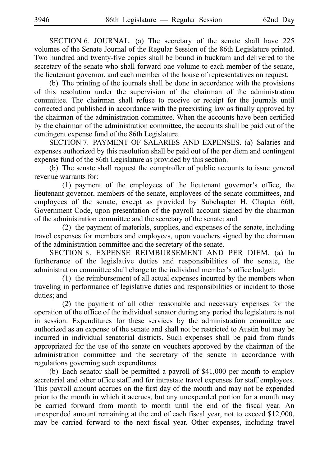SECTION 6. JOURNAL. (a) The secretary of the senate shall have 225 volumes of the Senate Journal of the Regular Session of the 86th Legislature printed. Two hundred and twenty-five copies shall be bound in buckram and delivered to the secretary of the senate who shall forward one volume to each member of the senate, the lieutenant governor, and each member of the house of representatives on request.

(b) The printing of the journals shall be done in accordance with the provisions of this resolution under the supervision of the chairman of the administration committee. The chairman shall refuse to receive or receipt for the journals until corrected and published in accordance with the preexisting law as finally approved by the chairman of the administration committee. When the accounts have been certified by the chairman of the administration committee, the accounts shall be paid out of the contingent expense fund of the 86th Legislature.

SECTION 7. PAYMENT OF SALARIES AND EXPENSES. (a) Salaries and expenses authorized by this resolution shall be paid out of the per diem and contingent expense fund of the 86th Legislature as provided by this section.

(b) The senate shall request the comptroller of public accounts to issue general revenue warrants for:

 $(1)$  payment of the employees of the lieutenant governor's office, the lieutenant governor, members of the senate, employees of the senate committees, and employees of the senate, except as provided by Subchapter H, Chapter 660, Government Code, upon presentation of the payroll account signed by the chairman of the administration committee and the secretary of the senate; and

 $(2)$  the payment of materials, supplies, and expenses of the senate, including travel expenses for members and employees, upon vouchers signed by the chairman of the administration committee and the secretary of the senate.

SECTION 8. EXPENSE REIMBURSEMENT AND PER DIEM. (a) In furtherance of the legislative duties and responsibilities of the senate, the administration committee shall charge to the individual member's office budget:

 $(1)$  the reimbursement of all actual expenses incurred by the members when traveling in performance of legislative duties and responsibilities or incident to those duties; and

(2) the payment of all other reasonable and necessary expenses for the operation of the office of the individual senator during any period the legislature is not in session. Expenditures for these services by the administration committee are authorized as an expense of the senate and shall not be restricted to Austin but may be incurred in individual senatorial districts. Such expenses shall be paid from funds appropriated for the use of the senate on vouchers approved by the chairman of the administration committee and the secretary of the senate in accordance with regulations governing such expenditures.

(b) Each senator shall be permitted a payroll of  $$41,000$  per month to employ secretarial and other office staff and for intrastate travel expenses for staff employees. This payroll amount accrues on the first day of the month and may not be expended prior to the month in which it accrues, but any unexpended portion for a month may be carried forward from month to month until the end of the fiscal year. An unexpended amount remaining at the end of each fiscal year, not to exceed \$12,000, may be carried forward to the next fiscal year. Other expenses, including travel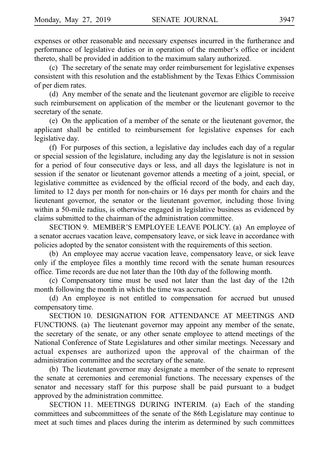expenses or other reasonable and necessary expenses incurred in the furtherance and performance of legislative duties or in operation of the member's office or incident thereto, shall be provided in addition to the maximum salary authorized.

(c) The secretary of the senate may order reimbursement for legislative expenses consistent with this resolution and the establishment by the Texas Ethics Commission of per diem rates.

(d) Any member of the senate and the lieutenant governor are eligible to receive such reimbursement on application of the member or the lieutenant governor to the secretary of the senate.

(e) On the application of a member of the senate or the lieutenant governor, the applicant shall be entitled to reimbursement for legislative expenses for each legislative day.

(f) For purposes of this section, a legislative day includes each day of a regular or special session of the legislature, including any day the legislature is not in session for a period of four consecutive days or less, and all days the legislature is not in session if the senator or lieutenant governor attends a meeting of a joint, special, or legislative committee as evidenced by the official record of the body, and each day, limited to 12 days per month for non-chairs or 16 days per month for chairs and the lieutenant governor, the senator or the lieutenant governor, including those living within a 50-mile radius, is otherwise engaged in legislative business as evidenced by claims submitted to the chairman of the administration committee.

SECTION 9. MEMBER'S EMPLOYEE LEAVE POLICY. (a) An employee of a senator accrues vacation leave, compensatory leave, or sick leave in accordance with policies adopted by the senator consistent with the requirements of this section.

(b) An employee may accrue vacation leave, compensatory leave, or sick leave only if the employee files a monthly time record with the senate human resources office. Time records are due not later than the 10th day of the following month.

(c) Compensatory time must be used not later than the last day of the 12th month following the month in which the time was accrued.

(d) An employee is not entitled to compensation for accrued but unused compensatory time.

SECTION 10. DESIGNATION FOR ATTENDANCE AT MEETINGS AND FUNCTIONS. (a) The lieutenant governor may appoint any member of the senate, the secretary of the senate, or any other senate employee to attend meetings of the National Conference of State Legislatures and other similar meetings. Necessary and actual expenses are authorized upon the approval of the chairman of the administration committee and the secretary of the senate.

(b) The lieutenant governor may designate a member of the senate to represent the senate at ceremonies and ceremonial functions. The necessary expenses of the senator and necessary staff for this purpose shall be paid pursuant to a budget approved by the administration committee.

SECTION 11. MEETINGS DURING INTERIM. (a) Each of the standing committees and subcommittees of the senate of the 86th Legislature may continue to meet at such times and places during the interim as determined by such committees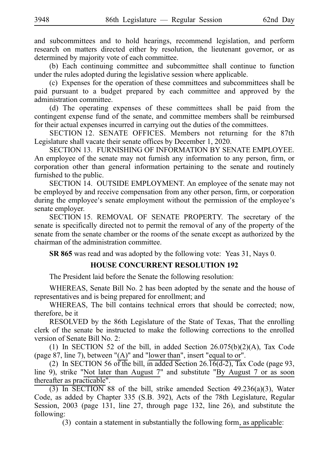and subcommittees and to hold hearings, recommend legislation, and perform research on matters directed either by resolution, the lieutenant governor, or as determined by majority vote of each committee.

(b) Each continuing committee and subcommittee shall continue to function under the rules adopted during the legislative session where applicable.

(c) Expenses for the operation of these committees and subcommittees shall be paid pursuant to a budget prepared by each committee and approved by the administration committee.

(d) The operating expenses of these committees shall be paid from the contingent expense fund of the senate, and committee members shall be reimbursed for their actual expenses incurred in carrying out the duties of the committees.

SECTION 12. SENATE OFFICES. Members not returning for the 87th Legislature shall vacate their senate offices by December 1, 2020.

SECTION 13. FURNISHING OF INFORMATION BY SENATE EMPLOYEE. An employee of the senate may not furnish any information to any person, firm, or corporation other than general information pertaining to the senate and routinely furnished to the public.

SECTION 14. OUTSIDE EMPLOYMENT. An employee of the senate may not be employed by and receive compensation from any other person, firm, or corporation during the employee's senate employment without the permission of the employee's senate employer.

SECTION 15. REMOVAL OF SENATE PROPERTY. The secretary of the senate is specifically directed not to permit the removal of any of the property of the senate from the senate chamber or the rooms of the senate except as authorized by the chairman of the administration committee.

**SR 865** was read and was adopted by the following vote: Yeas 31, Nays 0.

# **HOUSE CONCURRENT RESOLUTION 192**

The President laid before the Senate the following resolution:

WHEREAS, Senate Bill No. 2 has been adopted by the senate and the house of representatives and is being prepared for enrollment; and

WHEREAS, The bill contains technical errors that should be corrected; now, therefore, be it

RESOLVED by the 86th Legislature of the State of Texas, That the enrolling clerk of the senate be instructed to make the following corrections to the enrolled version of Senate Bill No. 2:

(1) In SECTION 52 of the bill, in added Section  $26.075(b)(2)(A)$ , Tax Code (page 87, line 7), between "(A)" and "lower than", insert "equal to or".

(2) In SECTION 56 of the bill, in added Section 26.16(d-2), Tax Code (page 93, line 9), strike "Not later than August 7" and substitute "By August 7 or as soon thereafter as practicable".

(3) In SECTION 88 of the bill, strike amended Section 49.236(a)(3), Water Code, as added by Chapter 335 (S.B. 392), Acts of the 78th Legislature, Regular Session, 2003 (page 131, line 27, through page 132, line 26), and substitute the following:

 $(3)$  contain a statement in substantially the following form, as applicable: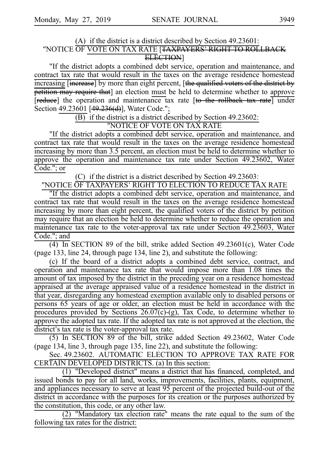# (A) if the district is a district described by Section  $49.23601$ : "NOTICE OF VOTE ON TAX RATE [<del>TAXPAYERS' RIGHT TO ROLLBACK</del> ELECTION]

"If the district adopts a combined debt service, operation and maintenance, and contract tax rate that would result in the taxes on the average residence homestead increasing [increase] by more than eight percent, [the qualified voters of the district by **petition may require that**] an election must be held to determine whether to approve [reduce] the operation and maintenance tax rate [to the rollback tax rate] under Section 49.23601 [49.236(d)], Water Code.";

 $\overline{(B)}$  if the district is a district described by Section 49.23602:

"NOTICE OF VOTE ON TAX RATE

"If the district adopts a combined debt service, operation and maintenance, and contract tax rate that would result in the taxes on the average residence homestead increasing by more than 3.5 percent, an election must be held to determine whether to approve the operation and maintenance tax rate under Section 49.23602, Water Code."; or

(C) if the district is a district described by Section 49.23603:

"NOTICE OF TAXPAYERS 'RIGHT TO ELECTION TO REDUCE TAX RATE

"If the district adopts a combined debt service, operation and maintenance, and contract tax rate that would result in the taxes on the average residence homestead increasing by more than eight percent, the qualified voters of the district by petition may require that an election be held to determine whether to reduce the operation and maintenance tax rate to the voter-approval tax rate under Section 49.23603, Water Code."; and

 $\overline{(4)}$  In SECTION 89 of the bill, strike added Section 49.23601(c), Water Code (page 133, line 24, through page 134, line 2), and substitute the following:

(c)iiIf the board of a district adopts a combined debt service, contract, and operation and maintenance tax rate that would impose more than 1.08 times the amount of tax imposed by the district in the preceding year on a residence homestead appraised at the average appraised value of a residence homestead in the district in that year, disregarding any homestead exemption available only to disabled persons or persons 65 years of age or older, an election must be held in accordance with the procedures provided by Sections 26.07(c)-(g), Tax Code, to determine whether to approve the adopted tax rate. If the adopted tax rate is not approved at the election, the district's tax rate is the voter-approval tax rate.

(5) In SECTION 89 of the bill, strike added Section 49.23602, Water Code (page 134, line 3, through page 135, line 22), and substitute the following:

Sec. 49.23602. AUTOMATIC ELECTION TO APPROVE TAX RATE FOR CERTAIN DEVELOPED DISTRICTS. (a) In this section:

 $(1)$  "Developed district" means a district that has financed, completed, and issued bonds to pay for all land, works, improvements, facilities, plants, equipment, and appliances necessary to serve at least 95 percent of the projected build-out of the district in accordance with the purposes for its creation or the purposes authorized by the constitution, this code, or any other law.

 $(2)$  "Mandatory tax election rate" means the rate equal to the sum of the following tax rates for the district: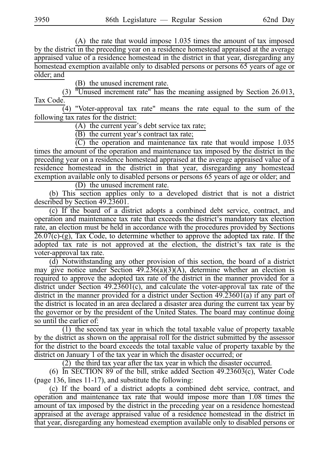$(A)$  the rate that would impose 1.035 times the amount of tax imposed by the district in the preceding year on a residence homestead appraised at the average appraised value of a residence homestead in the district in that year, disregarding any homestead exemption available only to disabled persons or persons 65 years of age or older; and

(B) the unused increment rate.

"Unused increment rate" has the meaning assigned by Section 26.013, Tax Code.

(4) "Voter-approval tax rate" means the rate equal to the sum of the following tax rates for the district:

 $(A)$  the current year's debt service tax rate;

 $\overrightarrow{B}$ ) the current year's contract tax rate;

 $\overline{C}$ ) the operation and maintenance tax rate that would impose 1.035 times the amount of the operation and maintenance tax imposed by the district in the preceding year on a residence homestead appraised at the average appraised value of a residence homestead in the district in that year, disregarding any homestead exemption available only to disabled persons or persons 65 years of age or older; and

(D) the unused increment rate.

(b) This section applies only to a developed district that is not a district described by Section 49.23601.

(c) If the board of a district adopts a combined debt service, contract, and operation and maintenance tax rate that exceeds the district's mandatory tax election rate, an election must be held in accordance with the procedures provided by Sections 26.07(c)-(g), Tax Code, to determine whether to approve the adopted tax rate. If the adopted tax rate is not approved at the election, the district's tax rate is the voter-approval tax rate.

(d) Notwithstanding any other provision of this section, the board of a district may give notice under Section  $49.236(a)(3)(A)$ , determine whether an election is required to approve the adopted tax rate of the district in the manner provided for a district under Section 49.23601(c), and calculate the voter-approval tax rate of the district in the manner provided for a district under Section 49.23601(a) if any part of the district is located in an area declared a disaster area during the current tax year by the governor or by the president of the United States. The board may continue doing so until the earlier of:

(1) the second tax year in which the total taxable value of property taxable by the district as shown on the appraisal roll for the district submitted by the assessor for the district to the board exceeds the total taxable value of property taxable by the district on January 1 of the tax year in which the disaster occurred; or

(2) the third tax year after the tax year in which the disaster occurred.

(6) In SECTION 89 of the bill, strike added Section  $49.23603(c)$ , Water Code (page 136, lines 11-17), and substitute the following:

(c) If the board of a district adopts a combined debt service, contract, and operation and maintenance tax rate that would impose more than 1.08 times the amount of tax imposed by the district in the preceding year on a residence homestead appraised at the average appraised value of a residence homestead in the district in that year, disregarding any homestead exemption available only to disabled persons or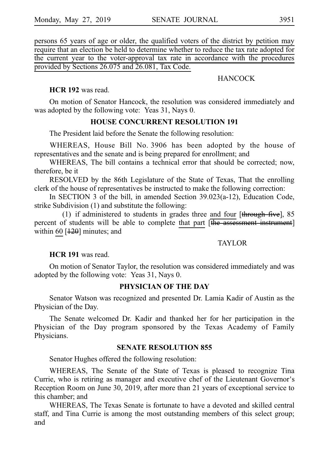persons 65 years of age or older, the qualified voters of the district by petition may require that an election be held to determine whether to reduce the tax rate adopted for the current year to the voter-approval tax rate in accordance with the procedures provided by Sections 26.075 and 26.081, Tax Code.

# **HANCOCK**

### **HCR 192** was read.

On motion of Senator Hancock, the resolution was considered immediately and was adopted by the following vote: Yeas 31, Nays 0.

# **HOUSE CONCURRENT RESOLUTION 191**

The President laid before the Senate the following resolution:

WHEREAS, House Bill No. 3906 has been adopted by the house of representatives and the senate and is being prepared for enrollment; and

WHEREAS, The bill contains a technical error that should be corrected; now, therefore, be it

RESOLVED by the 86th Legislature of the State of Texas, That the enrolling clerk of the house of representatives be instructed to make the following correction:

In SECTION 3 of the bill, in amended Section 39.023(a-12), Education Code, strike Subdivision (1) and substitute the following:

(1) if administered to students in grades three and four [ $th$ rough five], 85 percent of students will be able to complete that part  $\overline{[the assessment instrument]}$ within 60  $[120]$  minutes; and

# TAYLOR

**HCR 191** was read.

On motion of Senator Taylor, the resolution was considered immediately and was adopted by the following vote: Yeas 31, Nays 0.

# **PHYSICIAN OF THE DAY**

Senator Watson was recognized and presented Dr. Lamia Kadir of Austin as the Physician of the Day.

The Senate welcomed Dr. Kadir and thanked her for her participation in the Physician of the Day program sponsored by the Texas Academy of Family Physicians.

# **SENATE RESOLUTION 855**

Senator Hughes offered the following resolution:

WHEREAS, The Senate of the State of Texas is pleased to recognize Tina Currie, who is retiring as manager and executive chef of the Lieutenant Governor s' Reception Room on June 30, 2019, after more than 21 years of exceptional service to this chamber; and

WHEREAS, The Texas Senate is fortunate to have a devoted and skilled central staff, and Tina Currie is among the most outstanding members of this select group; and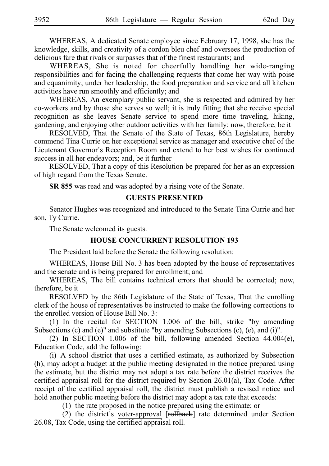WHEREAS, A dedicated Senate employee since February 17, 1998, she has the knowledge, skills, and creativity of a cordon bleu chef and oversees the production of delicious fare that rivals or surpasses that of the finest restaurants; and

WHEREAS, She is noted for cheerfully handling her wide-ranging responsibilities and for facing the challenging requests that come her way with poise and equanimity; under her leadership, the food preparation and service and all kitchen activities have run smoothly and efficiently; and

WHEREAS, An exemplary public servant, she is respected and admired by her co-workers and by those she serves so well; it is truly fitting that she receive special recognition as she leaves Senate service to spend more time traveling, hiking, gardening, and enjoying other outdoor activities with her family; now, therefore, be it

RESOLVED, That the Senate of the State of Texas, 86th Legislature, hereby commend Tina Currie on her exceptional service as manager and executive chef of the Lieutenant Governor's Reception Room and extend to her best wishes for continued success in all her endeavors; and, be it further

RESOLVED, That a copy of this Resolution be prepared for her as an expression of high regard from the Texas Senate.

**SR 855** was read and was adopted by a rising vote of the Senate.

### **GUESTS PRESENTED**

Senator Hughes was recognized and introduced to the Senate Tina Currie and her son, Ty Currie.

The Senate welcomed its guests.

### **HOUSE CONCURRENT RESOLUTION 193**

The President laid before the Senate the following resolution:

WHEREAS, House Bill No. 3 has been adopted by the house of representatives and the senate and is being prepared for enrollment; and

WHEREAS, The bill contains technical errors that should be corrected; now, therefore, be it

RESOLVED by the 86th Legislature of the State of Texas, That the enrolling clerk of the house of representatives be instructed to make the following corrections to the enrolled version of House Bill No. 3:

(1) In the recital for SECTION  $1.006$  of the bill, strike "by amending Subsections (c) and (e)" and substitute "by amending Subsections (c), (e), and (i)".

(2) In SECTION 1.006 of the bill, following amended Section  $44.004(e)$ , Education Code, add the following:

(i) A school district that uses a certified estimate, as authorized by Subsection (h), may adopt a budget at the public meeting designated in the notice prepared using the estimate, but the district may not adopt a tax rate before the district receives the certified appraisal roll for the district required by Section 26.01(a), Tax Code. After receipt of the certified appraisal roll, the district must publish a revised notice and hold another public meeting before the district may adopt a tax rate that exceeds:

 $(1)$  the rate proposed in the notice prepared using the estimate; or

(2) the district's voter-approval  $[**reHback**]$  rate determined under Section 26.08, Tax Code, using the certified appraisal roll.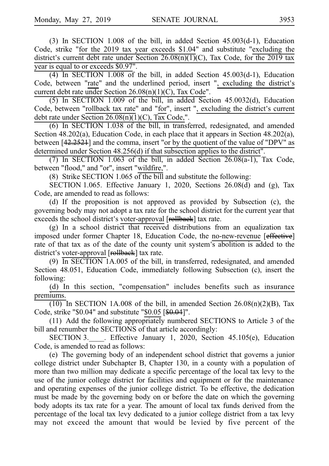(3) In SECTION 1.008 of the bill, in added Section  $45.003(d-1)$ , Education Code, strike "for the 2019 tax year exceeds \$1.04" and substitute "excluding the district's current debt rate under Section  $26.08(n)(1)(C)$ , Tax Code, for the 2019 tax year is equal to or exceeds \$0.97".

(4) In SECTION 1.008 of the bill, in added Section  $45.003(d-1)$ , Education Code, between "rate" and the underlined period, insert ", excluding the district's current debt rate under Section 26.08(n)(1)(C), Tax Code".

(5) In SECTION 1.009 of the bill, in added Section 45.0032(d), Education Code, between "rollback tax rate" and "for", insert ", excluding the district's current debt rate under Section  $26.08(n)(1)(C)$ , Tax Code,".

 $(6)$  In SECTION 1.038 of the bill, in transferred, redesignated, and amended Section 48.202(a), Education Code, in each place that it appears in Section 48.202(a), between [42.2521] and the comma, insert "or by the quotient of the value of "DPV" as determined under Section 48.256(d) if that subsection applies to the district".

(7) In SECTION 1.063 of the bill, in added Section  $26.08(a-1)$ , Tax Code, between "flood," and "or", insert "wildfire,".

(8) Strike SECTION 1.065 of the bill and substitute the following:

SECTION 1.065. Effective January 1, 2020, Sections  $26.08(d)$  and (g), Tax Code, are amended to read as follows:

(d) If the proposition is not approved as provided by Subsection (c), the governing body may not adopt a tax rate for the school district for the current year that exceeds the school district's voter-approval [rollback] tax rate.

 $(g)$  In a school district that received distributions from an equalization tax imposed under former Chapter 18, Education Code, the no-new-revenue [effective] rate of that tax as of the date of the county unit system's abolition is added to the district's voter-approval [rollback] tax rate.

(9)  $\overline{\text{In SECTION 1A.005}}$  of the bill, in transferred, redesignated, and amended Section 48.051, Education Code, immediately following Subsection (c), insert the following:

(d) In this section, "compensation" includes benefits such as insurance premiums.

(10) In SECTION 1A.008 of the bill, in amended Section  $26.08(n)(2)(B)$ , Tax Code, strike "\$0.04" and substitute "\$0.05 [\$0.04]".

 $(11)$  Add the following appropriately numbered SECTIONS to Article 3 of the bill and renumber the SECTIONS of that article accordingly:

SECTION 3.\_\_\_\_\_. Effective January 1, 2020, Section 45.105(e), Education Code, is amended to read as follows:

(e) The governing body of an independent school district that governs a junior college district under Subchapter B, Chapter 130, in a county with a population of more than two million may dedicate a specific percentage of the local tax levy to the use of the junior college district for facilities and equipment or for the maintenance and operating expenses of the junior college district. To be effective, the dedication must be made by the governing body on or before the date on which the governing body adopts its tax rate for a year. The amount of local tax funds derived from the percentage of the local tax levy dedicated to a junior college district from a tax levy may not exceed the amount that would be levied by five percent of the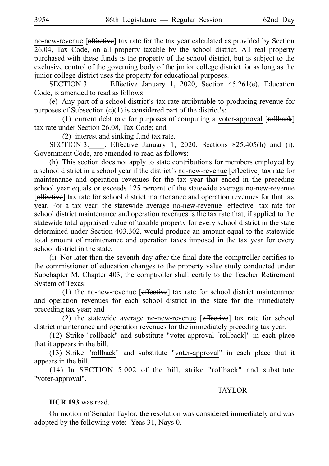no-new-revenue [effective] tax rate for the tax year calculated as provided by Section 26.04, Tax Code, on all property taxable by the school district. All real property purchased with these funds is the property of the school district, but is subject to the exclusive control of the governing body of the junior college district for as long as the junior college district uses the property for educational purposes.

SECTION 3. Effective January 1, 2020, Section  $45.261(e)$ , Education Code, is amended to read as follows:

(e) Any part of a school district's tax rate attributable to producing revenue for purposes of Subsection  $(c)(1)$  is considered part of the district's:

(1) current debt rate for purposes of computing a voter-approval  $[**reHback**]$ tax rate under Section 26.08, Tax Code; and

 $(2)$  interest and sinking fund tax rate.

SECTION 3. Fffective January 1, 2020, Sections 825.405(h) and (i), Government Code, are amended to read as follows:

(h) This section does not apply to state contributions for members employed by a school district in a school year if the district's no-new-revenue [effective] tax rate for maintenance and operation revenues for the tax year that ended in the preceding school year equals or exceeds 125 percent of the statewide average no-new-revenue [effective] tax rate for school district maintenance and operation revenues for that tax year. For a tax year, the statewide average no-new-revenue [effective] tax rate for school district maintenance and operation revenues is the tax rate that, if applied to the statewide total appraised value of taxable property for every school district in the state determined under Section 403.302, would produce an amount equal to the statewide total amount of maintenance and operation taxes imposed in the tax year for every school district in the state.

 $(i)$  Not later than the seventh day after the final date the comptroller certifies to the commissioner of education changes to the property value study conducted under Subchapter M, Chapter 403, the comptroller shall certify to the Teacher Retirement System of Texas:

(1) the no-new-revenue  $[effective]$  tax rate for school district maintenance and operation revenues for each school district in the state for the immediately preceding tax year; and

(2) the statewide average no-new-revenue  $[effective]$  tax rate for school district maintenance and operation revenues for the immediately preceding tax year.

(12) Strike "rollback" and substitute "voter-approval [rollback]" in each place that it appears in the bill.

(13) Strike "rollback" and substitute "voter-approval" in each place that it appears in the bill.

(14) In SECTION 5.002 of the bill, strike "rollback" and substitute "voter-approval".

### TAYLOR

# **HCR 193** was read.

On motion of Senator Taylor, the resolution was considered immediately and was adopted by the following vote: Yeas 31, Nays 0.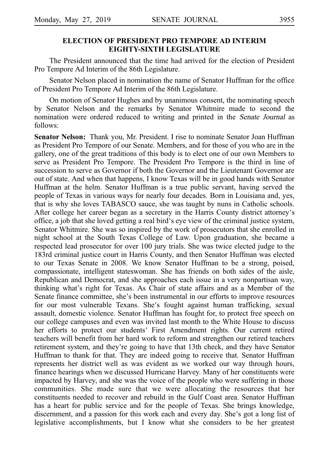# **ELECTION OF PRESIDENT PRO TEMPORE AD INTERIM EIGHTY-SIXTH LEGISLATURE**

The President announced that the time had arrived for the election of President Pro Tempore Ad Interim of the 86th Legislature.

Senator Nelson placed in nomination the name of Senator Huffman for the office of President Pro Tempore Ad Interim of the 86th Legislature.

On motion of Senator Hughes and by unanimous consent, the nominating speech by Senator Nelson and the remarks by Senator Whitmire made to second the nomination were ordered reduced to writing and printed in the Senate Journal as follows:

**Senator Nelson:** Thank you, Mr. President. I rise to nominate Senator Joan Huffman as President Pro Tempore of our Senate. Members, and for those of you who are in the gallery, one of the great traditions of this body is to elect one of our own Members to serve as President Pro Tempore. The President Pro Tempore is the third in line of succession to serve as Governor if both the Governor and the Lieutenant Governor are out of state. And when that happens, I know Texas will be in good hands with Senator Huffman at the helm. Senator Huffman is a true public servant, having served the people of Texas in various ways for nearly four decades. Born in Louisiana and, yes, that is why she loves TABASCO sauce, she was taught by nuns in Catholic schools. After college her career began as a secretary in the Harris County district attorney's office, a job that she loved getting a real bird's eye view of the criminal justice system, Senator Whitmire. She was so inspired by the work of prosecutors that she enrolled in night school at the South Texas College of Law. Upon graduation, she became a respected lead prosecutor for over 100 jury trials. She was twice elected judge to the 183rd criminal justice court in Harris County, and then Senator Huffman was elected to our Texas Senate in 2008. We know Senator Huffman to be a strong, poised, compassionate, intelligent stateswoman. She has friends on both sides of the aisle, Republican and Democrat, and she approaches each issue in a very nonpartisan way, thinking what's right for Texas. As Chair of state affairs and as a Member of the Senate finance committee, she's been instrumental in our efforts to improve resources for our most vulnerable Texans. She's fought against human trafficking, sexual assault, domestic violence. Senator Huffman has fought for, to protect free speech on our college campuses and even was invited last month to the White House to discuss her efforts to protect our students' First Amendment rights. Our current retired teachers will benefit from her hard work to reform and strengthen our retired teachers retirement system, and they're going to have that 13th check, and they have Senator Huffman to thank for that. They are indeed going to receive that. Senator Huffman represents her district well as was evident as we worked our way through hours, finance hearings when we discussed Hurricane Harvey. Many of her constituents were impacted by Harvey, and she was the voice of the people who were suffering in those communities. She made sure that we were allocating the resources that her constituents needed to recover and rebuild in the Gulf Coast area. Senator Huffman has a heart for public service and for the people of Texas. She brings knowledge, discernment, and a passion for this work each and every day. She's got a long list of legislative accomplishments, but I know what she considers to be her greatest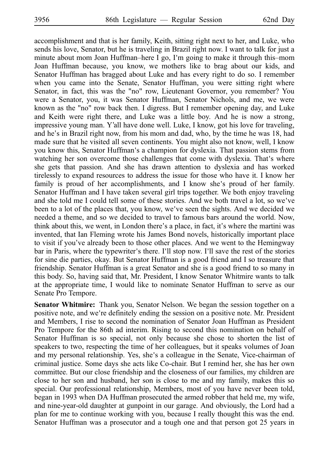accomplishment and that is her family, Keith, sitting right next to her, and Luke, who sends his love, Senator, but he is traveling in Brazil right now. I want to talk for just a minute about mom Joan Huffman–here I go, I'm going to make it through this–mom Joan Huffman because, you know, we mothers like to brag about our kids, and Senator Huffman has bragged about Luke and has every right to do so. I remember when you came into the Senate, Senator Huffman, you were sitting right where Senator, in fact, this was the "no" row, Lieutenant Governor, you remember? You were a Senator, you, it was Senator Huffman, Senator Nichols, and me, we were known as the "no" row back then. I digress. But I remember opening day, and Luke and Keith were right there, and Luke was a little boy. And he is now a strong, impressive young man. Y'all have done well. Luke, I know, got his love for traveling, and he's in Brazil right now, from his mom and dad, who, by the time he was 18, had made sure that he visited all seven continents. You might also not know, well, I know you know this, Senator Huffman's a champion for dyslexia. That passion stems from watching her son overcome those challenges that come with dyslexia. That's where she gets that passion. And she has drawn attention to dyslexia and has worked tirelessly to expand resources to address the issue for those who have it. I know her family is proud of her accomplishments, and I know she's proud of her family. Senator Huffman and I have taken several girl trips together. We both enjoy traveling and she told me I could tell some of these stories. And we both travel a lot, so we ve' been to a lot of the places that, you know, we've seen the sights. And we decided we needed a theme, and so we decided to travel to famous bars around the world. Now, think about this, we went, in London there's a place, in fact, it's where the martini was invented, that Ian Fleming wrote his James Bond novels, historically important place to visit if you've already been to those other places. And we went to the Hemingway bar in Paris, where the typewriter's there. I'll stop now. I'll save the rest of the stories for sine die parties, okay. But Senator Huffman is a good friend and I so treasure that friendship. Senator Huffman is a great Senator and she is a good friend to so many in this body. So, having said that, Mr. President, I know Senator Whitmire wants to talk at the appropriate time, I would like to nominate Senator Huffman to serve as our Senate Pro Tempore.

**Senator Whitmire:** Thank you, Senator Nelson. We began the session together on a positive note, and we're definitely ending the session on a positive note. Mr. President and Members, I rise to second the nomination of Senator Joan Huffman as President Pro Tempore for the 86th ad interim. Rising to second this nomination on behalf of Senator Huffman is so special, not only because she chose to shorten the list of speakers to two, respecting the time of her colleagues, but it speaks volumes of Joan and my personal relationship. Yes, she's a colleague in the Senate, Vice-chairman of criminal justice. Some days she acts like Co-chair. But I remind her, she has her own committee. But our close friendship and the closeness of our families, my children are close to her son and husband, her son is close to me and my family, makes this so special. Our professional relationship, Members, most of you have never been told, began in 1993 when DA Huffman prosecuted the armed robber that held me, my wife, and nine-year-old daughter at gunpoint in our garage. And obviously, the Lord had a plan for me to continue working with you, because I really thought this was the end. Senator Huffman was a prosecutor and a tough one and that person got 25 years in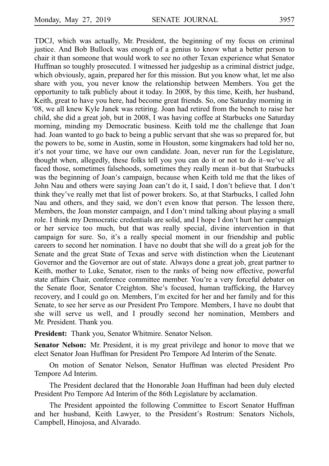TDCJ, which was actually, Mr. President, the beginning of my focus on criminal justice. And Bob Bullock was enough of a genius to know what a better person to chair it than someone that would work to see no other Texan experience what Senator Huffman so toughly prosecuted. I witnessed her judgeship as a criminal district judge, which obviously, again, prepared her for this mission. But you know what, let me also share with you, you never know the relationship between Members. You get the opportunity to talk publicly about it today. In 2008, by this time, Keith, her husband, Keith, great to have you here, had become great friends. So, one Saturday morning in 08, we all knew Kyle Janek was retiring. Joan had retired from the bench to raise her ' child, she did a great job, but in 2008, I was having coffee at Starbucks one Saturday morning, minding my Democratic business. Keith told me the challenge that Joan had. Joan wanted to go back to being a public servant that she was so prepared for, but the powers to be, some in Austin, some in Houston, some kingmakers had told her no, it's not your time, we have our own candidate. Joan, never run for the Legislature, thought when, allegedly, these folks tell you you can do it or not to do it–we ve all ' faced those, sometimes falsehoods, sometimes they really mean it–but that Starbucks was the beginning of Joan's campaign, because when Keith told me that the likes of John Nau and others were saying Joan can't do it, I said, I don't believe that. I don't think they ve really met that list of power brokers. So, at that Starbucks, I called John ' Nau and others, and they said, we don't even know that person. The lesson there, Members, the Joan monster campaign, and I don't mind talking about playing a small role. I think my Democratic credentials are solid, and I hope I don't hurt her campaign or her service too much, but that was really special, divine intervention in that campaign for sure. So, it's a really special moment in our friendship and public careers to second her nomination. I have no doubt that she will do a great job for the Senate and the great State of Texas and serve with distinction when the Lieutenant Governor and the Governor are out of state. Always done a great job, great partner to Keith, mother to Luke, Senator, risen to the ranks of being now effective, powerful state affairs Chair, conference committee member. You're a very forceful debater on the Senate floor, Senator Creighton. She's focused, human trafficking, the Harvey recovery, and I could go on. Members, I'm excited for her and her family and for this Senate, to see her serve as our President Pro Tempore. Members, I have no doubt that she will serve us well, and I proudly second her nomination, Members and Mr. President. Thank you.

**President:** Thank you, Senator Whitmire. Senator Nelson.

**Senator Nelson:** Mr. President, it is my great privilege and honor to move that we elect Senator Joan Huffman for President Pro Tempore Ad Interim of the Senate.

On motion of Senator Nelson, Senator Huffman was elected President Pro Tempore Ad Interim.

The President declared that the Honorable Joan Huffman had been duly elected President Pro Tempore Ad Interim of the 86th Legislature by acclamation.

The President appointed the following Committee to Escort Senator Huffman and her husband, Keith Lawyer, to the President's Rostrum: Senators Nichols, Campbell, Hinojosa, and Alvarado.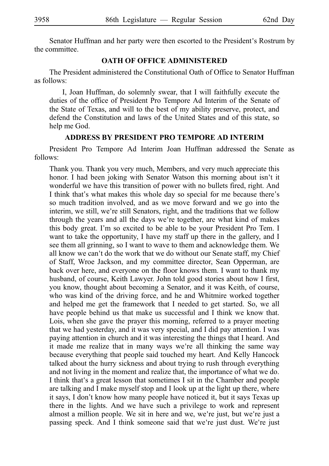Senator Huffman and her party were then escorted to the President's Rostrum by the committee.

### **OATH OF OFFICE ADMINISTERED**

The President administered the Constitutional Oath of Office to Senator Huffman as follows:

I, Joan Huffman, do solemnly swear, that I will faithfully execute the duties of the office of President Pro Tempore Ad Interim of the Senate of the State of Texas, and will to the best of my ability preserve, protect, and defend the Constitution and laws of the United States and of this state, so help me God.

### **ADDRESS BY PRESIDENT PRO TEMPORE AD INTERIM**

President Pro Tempore Ad Interim Joan Huffman addressed the Senate as follows:

Thank you. Thank you very much, Members, and very much appreciate this honor. I had been joking with Senator Watson this morning about isn't it wonderful we have this transition of power with no bullets fired, right. And I think that's what makes this whole day so special for me because there's so much tradition involved, and as we move forward and we go into the interim, we still, we're still Senators, right, and the traditions that we follow through the years and all the days we're together, are what kind of makes this body great. I'm so excited to be able to be your President Pro Tem. I want to take the opportunity, I have my staff up there in the gallery, and I see them all grinning, so I want to wave to them and acknowledge them. We all know we can't do the work that we do without our Senate staff, my Chief of Staff, Wroe Jackson, and my committee director, Sean Opperman, are back over here, and everyone on the floor knows them. I want to thank my husband, of course, Keith Lawyer. John told good stories about how I first, you know, thought about becoming a Senator, and it was Keith, of course, who was kind of the driving force, and he and Whitmire worked together and helped me get the framework that I needed to get started. So, we all have people behind us that make us successful and I think we know that. Lois, when she gave the prayer this morning, referred to a prayer meeting that we had yesterday, and it was very special, and I did pay attention. I was paying attention in church and it was interesting the things that I heard. And it made me realize that in many ways we re all thinking the same way ' because everything that people said touched my heart. And Kelly Hancock talked about the hurry sickness and about trying to rush through everything and not living in the moment and realize that, the importance of what we do. I think that's a great lesson that sometimes I sit in the Chamber and people are talking and I make myself stop and I look up at the light up there, where it says, I don't know how many people have noticed it, but it says Texas up there in the lights. And we have such a privilege to work and represent almost a million people. We sit in here and we, we're just, but we're just a passing speck. And I think someone said that we're just dust. We're just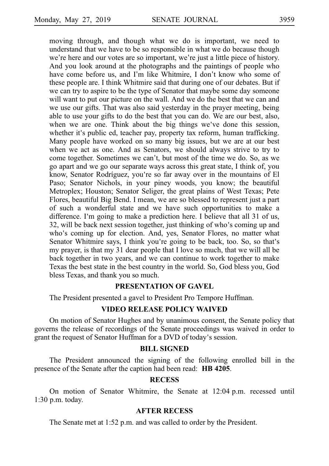moving through, and though what we do is important, we need to understand that we have to be so responsible in what we do because though we're here and our votes are so important, we're just a little piece of history. And you look around at the photographs and the paintings of people who have come before us, and I'm like Whitmire, I don't know who some of these people are. I think Whitmire said that during one of our debates. But if we can try to aspire to be the type of Senator that maybe some day someone will want to put our picture on the wall. And we do the best that we can and we use our gifts. That was also said yesterday in the prayer meeting, being able to use your gifts to do the best that you can do. We are our best, also, when we are one. Think about the big things we've done this session, whether it's public ed, teacher pay, property tax reform, human trafficking. Many people have worked on so many big issues, but we are at our best when we act as one. And as Senators, we should always strive to try to come together. Sometimes we can't, but most of the time we do. So, as we go apart and we go our separate ways across this great state, I think of, you know, Senator Rodríguez, you're so far away over in the mountains of El Paso; Senator Nichols, in your piney woods, you know; the beautiful Metroplex; Houston; Senator Seliger, the great plains of West Texas; Pete Flores, beautiful Big Bend. I mean, we are so blessed to represent just a part of such a wonderful state and we have such opportunities to make a difference. I'm going to make a prediction here. I believe that all 31 of us, 32, will be back next session together, just thinking of who's coming up and who's coming up for election. And, yes, Senator Flores, no matter what Senator Whitmire says, I think you're going to be back, too. So, so that's my prayer, is that my 31 dear people that I love so much, that we will all be back together in two years, and we can continue to work together to make Texas the best state in the best country in the world. So, God bless you, God bless Texas, and thank you so much.

### **PRESENTATION OF GAVEL**

The President presented a gavel to President Pro Tempore Huffman.

### **VIDEO RELEASE POLICY WAIVED**

On motion of Senator Hughes and by unanimous consent, the Senate policy that governs the release of recordings of the Senate proceedings was waived in order to grant the request of Senator Huffman for a DVD of today's session.

### **BILL SIGNED**

The President announced the signing of the following enrolled bill in the presence of the Senate after the caption had been read: **HB 4205**.

### **RECESS**

On motion of Senator Whitmire, the Senate at  $12:04$  p.m. recessed until  $1:30$  p.m. today.

# **AFTER RECESS**

The Senate met at 1:52 p.m. and was called to order by the President.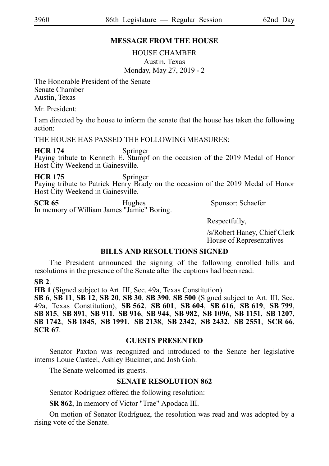# **MESSAGE FROM THE HOUSE**

HOUSE CHAMBER Austin, Texas Monday, May 27, 2019 - 2

The Honorable President of the Senate Senate Chamber Austin, Texas

Mr. President:

I am directed by the house to inform the senate that the house has taken the following action:

THE HOUSE HAS PASSED THE FOLLOWING MEASURES:

**HCR 174** Springer<br>Paying tribute to Kenneth E. Stumpf on the occasion of the 2019 Medal of Honor Host City Weekend in Gainesville.

**HCR 175** Springer<br>Paying tribute to Patrick Henry Brady on the occasion of the 2019 Medal of Honor Host City Weekend in Gainesville.

**SCR 65** Hughes Sponsor: Schaefer In memory of William James "Jamie" Boring.

Respectfully,

/s/Robert Haney, Chief Clerk House of Representatives

# **BILLS AND RESOLUTIONS SIGNED**

The President announced the signing of the following enrolled bills and resolutions in the presence of the Senate after the captions had been read:

# **SB**i**2**.

**HB 1** (Signed subject to Art. III, Sec. 49a, Texas Constitution).

**SB**i**6**, **SB**i**11**, **SB**i**12**, **SB**i**20**, **SB**i**30**, **SB**i**390**, **SB**i**500** (Signed subject to Art. III, Sec. 49a, Texas Constitution), **SB**i**562**, **SB**i**601**, **SB**i**604**, **SB**i**616**, **SB**i**619**, **SB**i**799**, **SB**i**815**, **SB**i**891**, **SB**i**911**, **SB**i**916**, **SB**i**944**, **SB**i**982**, **SB**i**1096**, **SB**i**1151**, **SB**i**1207**, **SB**i**1742**, **SB**i**1845**, **SB**i**1991**, **SB**i**2138**, **SB**i**2342**, **SB**i**2432**, **SB**i**2551**, **SCR**i**66**, **SCR**i**67**.

# **GUESTS PRESENTED**

Senator Paxton was recognized and introduced to the Senate her legislative interns Louie Casteel, Ashley Buckner, and Josh Goh.

The Senate welcomed its guests.

# **SENATE RESOLUTION 862**

Senator Rodríguez offered the following resolution:

**SR 862**, In memory of Victor "Trae" Apodaca III.

On motion of Senator Rodrı´guez, the resolution was read and was adopted by a rising vote of the Senate.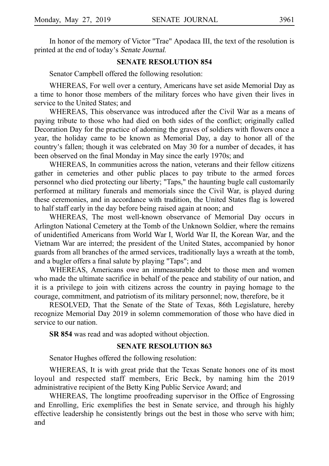In honor of the memory of Victor "Trae" Apodaca III, the text of the resolution is printed at the end of today's Senate Journal.

### **SENATE RESOLUTION 854**

Senator Campbell offered the following resolution:

WHEREAS, For well over a century, Americans have set aside Memorial Day as a time to honor those members of the military forces who have given their lives in service to the United States; and

WHEREAS, This observance was introduced after the Civil War as a means of paying tribute to those who had died on both sides of the conflict; originally called Decoration Day for the practice of adorning the graves of soldiers with flowers once a year, the holiday came to be known as Memorial Day, a day to honor all of the country s fallen; though it was celebrated on May 30 for a number of decades, it has ' been observed on the final Monday in May since the early 1970s; and

WHEREAS, In communities across the nation, veterans and their fellow citizens gather in cemeteries and other public places to pay tribute to the armed forces personnel who died protecting our liberty; "Taps," the haunting bugle call customarily performed at military funerals and memorials since the Civil War, is played during these ceremonies, and in accordance with tradition, the United States flag is lowered to half staff early in the day before being raised again at noon; and

WHEREAS, The most well-known observance of Memorial Day occurs in Arlington National Cemetery at the Tomb of the Unknown Soldier, where the remains of unidentified Americans from World War I, World War II, the Korean War, and the Vietnam War are interred; the president of the United States, accompanied by honor guards from all branches of the armed services, traditionally lays a wreath at the tomb, and a bugler offers a final salute by playing "Taps"; and

WHEREAS, Americans owe an immeasurable debt to those men and women who made the ultimate sacrifice in behalf of the peace and stability of our nation, and it is a privilege to join with citizens across the country in paying homage to the courage, commitment, and patriotism of its military personnel; now, therefore, be it

RESOLVED, That the Senate of the State of Texas, 86th Legislature, hereby recognize Memorial Day 2019 in solemn commemoration of those who have died in service to our nation.

**SR 854** was read and was adopted without objection.

# **SENATE RESOLUTION 863**

Senator Hughes offered the following resolution:

WHEREAS, It is with great pride that the Texas Senate honors one of its most loyoul and respected staff members, Eric Beck, by naming him the 2019 administrative recipient of the Betty King Public Service Award; and

WHEREAS, The longtime proofreading supervisor in the Office of Engrossing and Enrolling, Eric exemplifies the best in Senate service, and through his highly effective leadership he consistently brings out the best in those who serve with him; and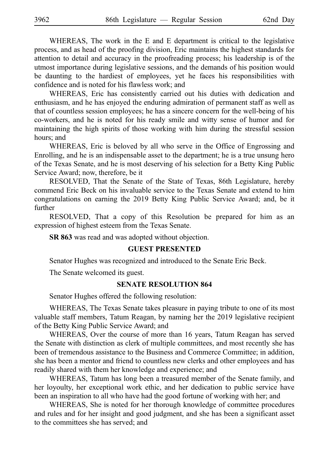WHEREAS, The work in the E and E department is critical to the legislative process, and as head of the proofing division, Eric maintains the highest standards for attention to detail and accuracy in the proofreading process; his leadership is of the utmost importance during legislative sessions, and the demands of his position would be daunting to the hardiest of employees, yet he faces his responsibilities with confidence and is noted for his flawless work; and

WHEREAS, Eric has consistently carried out his duties with dedication and enthusiasm, and he has enjoyed the enduring admiration of permanent staff as well as that of countless session employees; he has a sincere concern for the well-being of his co-workers, and he is noted for his ready smile and witty sense of humor and for maintaining the high spirits of those working with him during the stressful session hours; and

WHEREAS, Eric is beloved by all who serve in the Office of Engrossing and Enrolling, and he is an indispensable asset to the department; he is a true unsung hero of the Texas Senate, and he is most deserving of his selection for a Betty King Public Service Award; now, therefore, be it

RESOLVED, That the Senate of the State of Texas, 86th Legislature, hereby commend Eric Beck on his invaluable service to the Texas Senate and extend to him congratulations on earning the 2019 Betty King Public Service Award; and, be it further

RESOLVED, That a copy of this Resolution be prepared for him as an expression of highest esteem from the Texas Senate.

**SR 863** was read and was adopted without objection.

### **GUEST PRESENTED**

Senator Hughes was recognized and introduced to the Senate Eric Beck.

The Senate welcomed its guest.

### **SENATE RESOLUTION 864**

Senator Hughes offered the following resolution:

WHEREAS, The Texas Senate takes pleasure in paying tribute to one of its most valuable staff members, Tatum Reagan, by naming her the 2019 legislative recipient of the Betty King Public Service Award; and

WHEREAS, Over the course of more than 16 years, Tatum Reagan has served the Senate with distinction as clerk of multiple committees, and most recently she has been of tremendous assistance to the Business and Commerce Committee; in addition, she has been a mentor and friend to countless new clerks and other employees and has readily shared with them her knowledge and experience; and

WHEREAS, Tatum has long been a treasured member of the Senate family, and her loyoulty, her exceptional work ethic, and her dedication to public service have been an inspiration to all who have had the good fortune of working with her; and

WHEREAS, She is noted for her thorough knowledge of committee procedures and rules and for her insight and good judgment, and she has been a significant asset to the committees she has served; and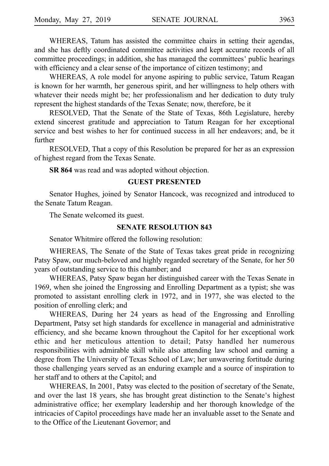WHEREAS, Tatum has assisted the committee chairs in setting their agendas, and she has deftly coordinated committee activities and kept accurate records of all committee proceedings; in addition, she has managed the committees' public hearings with efficiency and a clear sense of the importance of citizen testimony; and

WHEREAS, A role model for anyone aspiring to public service, Tatum Reagan is known for her warmth, her generous spirit, and her willingness to help others with whatever their needs might be; her professionalism and her dedication to duty truly represent the highest standards of the Texas Senate; now, therefore, be it

RESOLVED, That the Senate of the State of Texas, 86th Legislature, hereby extend sincerest gratitude and appreciation to Tatum Reagan for her exceptional service and best wishes to her for continued success in all her endeavors; and, be it further

RESOLVED, That a copy of this Resolution be prepared for her as an expression of highest regard from the Texas Senate.

**SR 864** was read and was adopted without objection.

### **GUEST PRESENTED**

Senator Hughes, joined by Senator Hancock, was recognized and introduced to the Senate Tatum Reagan.

The Senate welcomed its guest.

### **SENATE RESOLUTION 843**

Senator Whitmire offered the following resolution:

WHEREAS, The Senate of the State of Texas takes great pride in recognizing Patsy Spaw, our much-beloved and highly regarded secretary of the Senate, for her 50 years of outstanding service to this chamber; and

WHEREAS, Patsy Spaw began her distinguished career with the Texas Senate in 1969, when she joined the Engrossing and Enrolling Department as a typist; she was promoted to assistant enrolling clerk in 1972, and in 1977, she was elected to the position of enrolling clerk; and

WHEREAS, During her 24 years as head of the Engrossing and Enrolling Department, Patsy set high standards for excellence in managerial and administrative efficiency, and she became known throughout the Capitol for her exceptional work ethic and her meticulous attention to detail; Patsy handled her numerous responsibilities with admirable skill while also attending law school and earning a degree from The University of Texas School of Law; her unwavering fortitude during those challenging years served as an enduring example and a source of inspiration to her staff and to others at the Capitol; and

WHEREAS, In 2001, Patsy was elected to the position of secretary of the Senate, and over the last 18 years, she has brought great distinction to the Senate's highest administrative office; her exemplary leadership and her thorough knowledge of the intricacies of Capitol proceedings have made her an invaluable asset to the Senate and to the Office of the Lieutenant Governor; and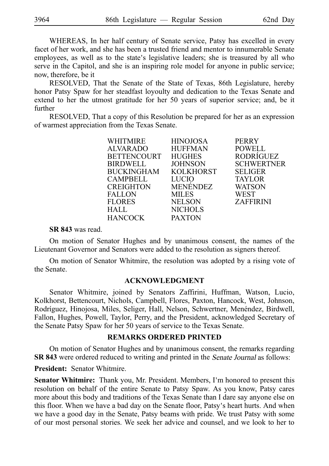WHEREAS, In her half century of Senate service, Patsy has excelled in every facet of her work, and she has been a trusted friend and mentor to innumerable Senate employees, as well as to the state's legislative leaders; she is treasured by all who serve in the Capitol, and she is an inspiring role model for anyone in public service; now, therefore, be it

RESOLVED, That the Senate of the State of Texas, 86th Legislature, hereby honor Patsy Spaw for her steadfast loyoulty and dedication to the Texas Senate and extend to her the utmost gratitude for her 50 years of superior service; and, be it further

RESOLVED, That a copy of this Resolution be prepared for her as an expression of warmest appreciation from the Texas Senate.

| WHITMIRE           | <b>HINOJOSA</b> | <b>PERRY</b>      |
|--------------------|-----------------|-------------------|
| <b>ALVARADO</b>    | <b>HUFFMAN</b>  | <b>POWELL</b>     |
| <b>BETTENCOURT</b> | <b>HUGHES</b>   | RODRÍGUEZ         |
| <b>BIRDWELL</b>    | <b>JOHNSON</b>  | <b>SCHWERTNER</b> |
| <b>BUCKINGHAM</b>  | KOLKHORST       | <b>SELIGER</b>    |
| <b>CAMPBELL</b>    | LUCIO           | <b>TAYLOR</b>     |
| CREIGHTON          | MENENDEZ        | <b>WATSON</b>     |
| <b>FALLON</b>      | <b>MILES</b>    | WEST              |
| <b>FLORES</b>      | <b>NELSON</b>   | <b>ZAFFIRINI</b>  |
| HALL               | <b>NICHOLS</b>  |                   |
| <b>HANCOCK</b>     | <b>PAXTON</b>   |                   |
|                    |                 |                   |

**SR 843** was read.

On motion of Senator Hughes and by unanimous consent, the names of the Lieutenant Governor and Senators were added to the resolution as signers thereof.

On motion of Senator Whitmire, the resolution was adopted by a rising vote of the Senate.

### **ACKNOWLEDGMENT**

Senator Whitmire, joined by Senators Zaffirini, Huffman, Watson, Lucio, Kolkhorst, Bettencourt, Nichols, Campbell, Flores, Paxton, Hancock, West, Johnson, Rodríguez, Hinojosa, Miles, Seliger, Hall, Nelson, Schwertner, Menéndez, Birdwell, Fallon, Hughes, Powell, Taylor, Perry, and the President, acknowledged Secretary of the Senate Patsy Spaw for her 50 years of service to the Texas Senate.

### **REMARKS ORDERED PRINTED**

On motion of Senator Hughes and by unanimous consent, the remarks regarding **SR 843** were ordered reduced to writing and printed in the Senate Journal as follows:

**President:** Senator Whitmire.

**Senator Whitmire:** Thank you, Mr. President. Members, I'm honored to present this resolution on behalf of the entire Senate to Patsy Spaw. As you know, Patsy cares more about this body and traditions of the Texas Senate than I dare say anyone else on this floor. When we have a bad day on the Senate floor, Patsy s heart hurts. And when ' we have a good day in the Senate, Patsy beams with pride. We trust Patsy with some of our most personal stories. We seek her advice and counsel, and we look to her to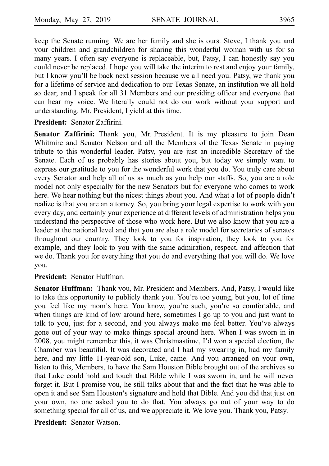keep the Senate running. We are her family and she is ours. Steve, I thank you and your children and grandchildren for sharing this wonderful woman with us for so many years. I often say everyone is replaceable, but, Patsy, I can honestly say you could never be replaced. I hope you will take the interim to rest and enjoy your family, but I know you ll be back next session because we all need you. Patsy, we thank you ' for a lifetime of service and dedication to our Texas Senate, an institution we all hold so dear, and I speak for all 31 Members and our presiding officer and everyone that can hear my voice. We literally could not do our work without your support and understanding. Mr. President, I yield at this time.

**President:** Senator Zaffirini.

**Senator Zaffirini:** Thank you, Mr. President. It is my pleasure to join Dean Whitmire and Senator Nelson and all the Members of the Texas Senate in paying tribute to this wonderful leader. Patsy, you are just an incredible Secretary of the Senate. Each of us probably has stories about you, but today we simply want to express our gratitude to you for the wonderful work that you do. You truly care about every Senator and help all of us as much as you help our staffs. So, you are a role model not only especially for the new Senators but for everyone who comes to work here. We hear nothing but the nicest things about you. And what a lot of people didn't realize is that you are an attorney. So, you bring your legal expertise to work with you every day, and certainly your experience at different levels of administration helps you understand the perspective of those who work here. But we also know that you are a leader at the national level and that you are also a role model for secretaries of senates throughout our country. They look to you for inspiration, they look to you for example, and they look to you with the same admiration, respect, and affection that we do. Thank you for everything that you do and everything that you will do. We love you.

# **President:** Senator Huffman.

**Senator Huffman:** Thank you, Mr. President and Members. And, Patsy, I would like to take this opportunity to publicly thank you. You're too young, but you, lot of time you feel like my mom's here. You know, you're such, you're so comfortable, and when things are kind of low around here, sometimes I go up to you and just want to talk to you, just for a second, and you always make me feel better. You ve always ' gone out of your way to make things special around here. When I was sworn in in 2008, you might remember this, it was Christmastime, I d won a special election, the ' Chamber was beautiful. It was decorated and I had my swearing in, had my family here, and my little 11-year-old son, Luke, came. And you arranged on your own, listen to this, Members, to have the Sam Houston Bible brought out of the archives so that Luke could hold and touch that Bible while I was sworn in, and he will never forget it. But I promise you, he still talks about that and the fact that he was able to open it and see Sam Houston's signature and hold that Bible. And you did that just on your own, no one asked you to do that. You always go out of your way to do something special for all of us, and we appreciate it. We love you. Thank you, Patsy.

**President: Senator Watson.**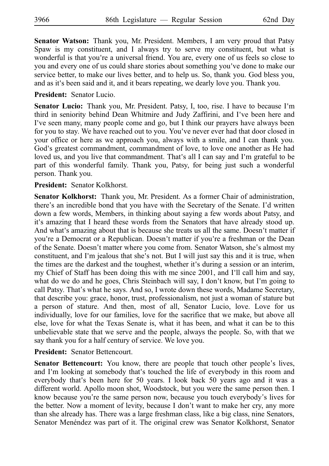**Senator Watson:** Thank you, Mr. President. Members, I am very proud that Patsy Spaw is my constituent, and I always try to serve my constituent, but what is wonderful is that you're a universal friend. You are, every one of us feels so close to you and every one of us could share stories about something you ve done to make our ' service better, to make our lives better, and to help us. So, thank you. God bless you, and as it's been said and it, and it bears repeating, we dearly love you. Thank you.

**President:** Senator Lucio.

**Senator Lucio:** Thank you, Mr. President. Patsy, I, too, rise. I have to because I'm third in seniority behind Dean Whitmire and Judy Zaffirini, and I ve been here and ' I've seen many, many people come and go, but I think our prayers have always been for you to stay. We have reached out to you. You ve never ever had that door closed in ' your office or here as we approach you, always with a smile, and I can thank you. God's greatest commandment, commandment of love, to love one another as He had loved us, and you live that commandment. That's all I can say and I'm grateful to be part of this wonderful family. Thank you, Patsy, for being just such a wonderful person. Thank you.

**President:** Senator Kolkhorst.

**Senator Kolkhorst:** Thank you, Mr. President. As a former Chair of administration, there's an incredible bond that you have with the Secretary of the Senate. I'd written down a few words, Members, in thinking about saying a few words about Patsy, and it's amazing that I heard these words from the Senators that have already stood up. And what's amazing about that is because she treats us all the same. Doesn't matter if you're a Democrat or a Republican. Doesn't matter if you're a freshman or the Dean of the Senate. Doesn't matter where you come from. Senator Watson, she's almost my constituent, and I'm jealous that she's not. But I will just say this and it is true, when the times are the darkest and the toughest, whether it's during a session or an interim, my Chief of Staff has been doing this with me since 2001, and I'll call him and say, what do we do and he goes, Chris Steinbach will say, I don't know, but I'm going to call Patsy. That's what he says. And so, I wrote down these words, Madame Secretary, that describe you: grace, honor, trust, professionalism, not just a woman of stature but a person of stature. And then, most of all, Senator Lucio, love. Love for us individually, love for our families, love for the sacrifice that we make, but above all else, love for what the Texas Senate is, what it has been, and what it can be to this unbelievable state that we serve and the people, always the people. So, with that we say thank you for a half century of service. We love you.

**President:** Senator Bettencourt.

**Senator Bettencourt:** You know, there are people that touch other people's lives, and I'm looking at somebody that's touched the life of everybody in this room and everybody that's been here for 50 years. I look back 50 years ago and it was a different world. Apollo moon shot, Woodstock, but you were the same person then. I know because you're the same person now, because you touch everybody's lives for the better. Now a moment of levity, because I don't want to make her cry, any more than she already has. There was a large freshman class, like a big class, nine Senators, Senator Menéndez was part of it. The original crew was Senator Kolkhorst, Senator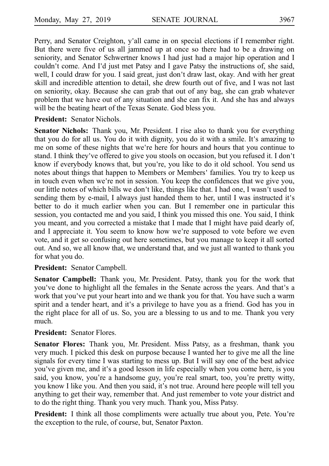Perry, and Senator Creighton, y'all came in on special elections if I remember right. But there were five of us all jammed up at once so there had to be a drawing on seniority, and Senator Schwertner knows I had just had a major hip operation and I couldn't come. And I'd just met Patsy and I gave Patsy the instructions of, she said, well, I could draw for you. I said great, just don't draw last, okay. And with her great skill and incredible attention to detail, she drew fourth out of five, and I was not last on seniority, okay. Because she can grab that out of any bag, she can grab whatever problem that we have out of any situation and she can fix it. And she has and always will be the beating heart of the Texas Senate. God bless you.

**President:** Senator Nichols.

**Senator Nichols:** Thank you, Mr. President. I rise also to thank you for everything that you do for all us. You do it with dignity, you do it with a smile. It's amazing to me on some of these nights that we're here for hours and hours that you continue to stand. I think they've offered to give you stools on occasion, but you refused it. I don't know if everybody knows that, but you're, you like to do it old school. You send us notes about things that happen to Members or Members 'families. You try to keep us in touch even when we're not in session. You keep the confidences that we give you, our little notes of which bills we don't like, things like that. I had one, I wasn't used to sending them by e-mail, I always just handed them to her, until I was instructed it's better to do it much earlier when you can. But I remember one in particular this session, you contacted me and you said, I think you missed this one. You said, I think you meant, and you corrected a mistake that I made that I might have paid dearly of, and I appreciate it. You seem to know how we're supposed to vote before we even vote, and it get so confusing out here sometimes, but you manage to keep it all sorted out. And so, we all know that, we understand that, and we just all wanted to thank you for what you do.

# **President:** Senator Campbell.

**Senator Campbell:** Thank you, Mr. President. Patsy, thank you for the work that you've done to highlight all the females in the Senate across the years. And that's a work that you've put your heart into and we thank you for that. You have such a warm spirit and a tender heart, and it's a privilege to have you as a friend. God has you in the right place for all of us. So, you are a blessing to us and to me. Thank you very much.

### **President:** Senator Flores.

Senator Flores: Thank you, Mr. President. Miss Patsy, as a freshman, thank you very much. I picked this desk on purpose because I wanted her to give me all the line signals for every time I was starting to mess up. But I will say one of the best advice you've given me, and it's a good lesson in life especially when you come here, is you said, you know, you're a handsome guy, you're real smart, too, you're pretty witty, you know I like you. And then you said, it's not true. Around here people will tell you anything to get their way, remember that. And just remember to vote your district and to do the right thing. Thank you very much. Thank you, Miss Patsy.

**President:** I think all those compliments were actually true about you, Pete. You're the exception to the rule, of course, but, Senator Paxton.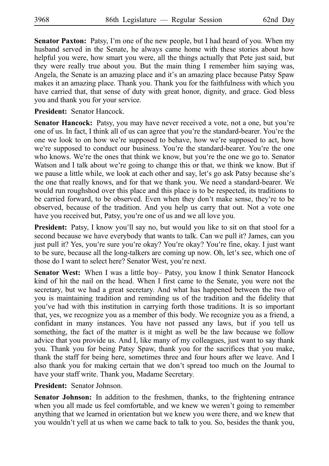**Senator Paxton:** Patsy, I'm one of the new people, but I had heard of you. When my husband served in the Senate, he always came home with these stories about how helpful you were, how smart you were, all the things actually that Pete just said, but they were really true about you. But the main thing I remember him saying was, Angela, the Senate is an amazing place and it's an amazing place because Patsy Spaw makes it an amazing place. Thank you. Thank you for the faithfulness with which you have carried that, that sense of duty with great honor, dignity, and grace. God bless you and thank you for your service.

**President:** Senator Hancock.

**Senator Hancock:** Patsy, you may have never received a vote, not a one, but you're one of us. In fact, I think all of us can agree that you're the standard-bearer. You're the one we look to on how we're supposed to behave, how we're supposed to act, how we're supposed to conduct our business. You're the standard-bearer. You're the one who knows. We're the ones that think we know, but you're the one we go to. Senator Watson and I talk about we're going to change this or that, we think we know. But if we pause a little while, we look at each other and say, let's go ask Patsy because she's the one that really knows, and for that we thank you. We need a standard-bearer. We would run roughshod over this place and this place is to be respected, its traditions to be carried forward, to be observed. Even when they don't make sense, they're to be observed, because of the tradition. And you help us carry that out. Not a vote one have you received but, Patsy, you're one of us and we all love you.

President: Patsy, I know you'll say no, but would you like to sit on that stool for a second because we have everybody that wants to talk. Can we pull it? James, can you just pull it? Yes, you're sure you're okay? You're okay? You're fine, okay. I just want to be sure, because all the long-talkers are coming up now. Oh, let's see, which one of those do I want to select here? Senator West, you're next.

Senator West: When I was a little boy– Patsy, you know I think Senator Hancock kind of hit the nail on the head. When I first came to the Senate, you were not the secretary, but we had a great secretary. And what has happened between the two of you is maintaining tradition and reminding us of the tradition and the fidelity that you ve had with this institution in carrying forth those traditions. It is so important ' that, yes, we recognize you as a member of this body. We recognize you as a friend, a confidant in many instances. You have not passed any laws, but if you tell us something, the fact of the matter is it might as well be the law because we follow advice that you provide us. And I, like many of my colleagues, just want to say thank you. Thank you for being Patsy Spaw, thank you for the sacrifices that you make, thank the staff for being here, sometimes three and four hours after we leave. And I also thank you for making certain that we don't spread too much on the Journal to have your staff write. Thank you, Madame Secretary.

**President:** Senator Johnson.

**Senator Johnson:** In addition to the freshmen, thanks, to the frightening entrance when you all made us feel comfortable, and we knew we weren't going to remember anything that we learned in orientation but we knew you were there, and we knew that you wouldn't yell at us when we came back to talk to you. So, besides the thank you,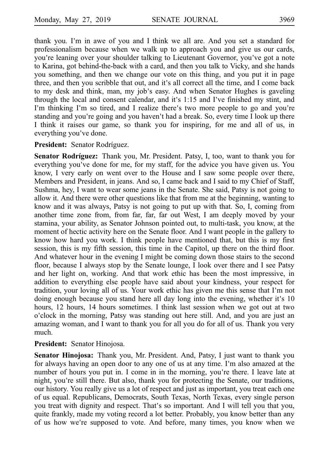thank you. I'm in awe of you and I think we all are. And you set a standard for professionalism because when we walk up to approach you and give us our cards, you're leaning over your shoulder talking to Lieutenant Governor, you've got a note to Karina, got behind-the-back with a card, and then you talk to Vicky, and she hands you something, and then we change our vote on this thing, and you put it in page three, and then you scribble that out, and it's all correct all the time, and I come back to my desk and think, man, my job's easy. And when Senator Hughes is gaveling through the local and consent calendar, and it's  $1:15$  and I've finished my stint, and I'm thinking I'm so tired, and I realize there's two more people to go and you're standing and you're going and you haven't had a break. So, every time I look up there I think it raises our game, so thank you for inspiring, for me and all of us, in everything you've done.

### President: Senator Rodríguez.

**Senator Rodríguez:** Thank you, Mr. President. Patsy, I, too, want to thank you for everything you've done for me, for my staff, for the advice you have given us. You know, I very early on went over to the House and I saw some people over there, Members and President, in jeans. And so, I came back and I said to my Chief of Staff, Sushma, hey, I want to wear some jeans in the Senate. She said, Patsy is not going to allow it. And there were other questions like that from me at the beginning, wanting to know and it was always, Patsy is not going to put up with that. So, I, coming from another time zone from, from far, far, far out West, I am deeply moved by your stamina, your ability, as Senator Johnson pointed out, to multi-task, you know, at the moment of hectic activity here on the Senate floor. And I want people in the gallery to know how hard you work. I think people have mentioned that, but this is my first session, this is my fifth session, this time in the Capitol, up there on the third floor. And whatever hour in the evening I might be coming down those stairs to the second floor, because I always stop by the Senate lounge, I look over there and I see Patsy and her light on, working. And that work ethic has been the most impressive, in addition to everything else people have said about your kindness, your respect for tradition, your loving all of us. Your work ethic has given me this sense that I m not ' doing enough because you stand here all day long into the evening, whether it's 10 hours, 12 hours, 14 hours sometimes. I think last session when we got out at two o clock in the morning, Patsy was standing out here still. And, and you are just an ' amazing woman, and I want to thank you for all you do for all of us. Thank you very much.

### **President:** Senator Hinojosa.

**Senator Hinojosa:** Thank you, Mr. President. And, Patsy, I just want to thank you for always having an open door to any one of us at any time. I'm also amazed at the number of hours you put in. I come in in the morning, you're there. I leave late at night, you're still there. But also, thank you for protecting the Senate, our traditions, our history. You really give us a lot of respect and just as important, you treat each one of us equal. Republicans, Democrats, South Texas, North Texas, every single person you treat with dignity and respect. That's so important. And I will tell you that you, quite frankly, made my voting record a lot better. Probably, you know better than any of us how we re supposed to vote. And before, many times, you know when we '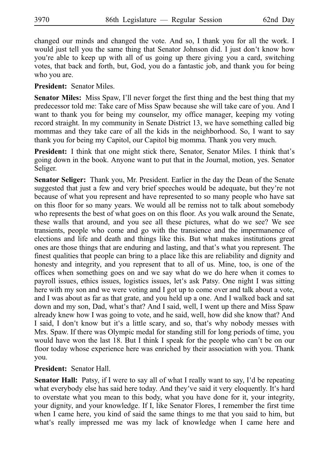changed our minds and changed the vote. And so, I thank you for all the work. I would just tell you the same thing that Senator Johnson did. I just don't know how you're able to keep up with all of us going up there giving you a card, switching votes, that back and forth, but, God, you do a fantastic job, and thank you for being who you are.

**President:** Senator Miles.

**Senator Miles:** Miss Spaw, I'll never forget the first thing and the best thing that my predecessor told me: Take care of Miss Spaw because she will take care of you. And I want to thank you for being my counselor, my office manager, keeping my voting record straight. In my community in Senate District 13, we have something called big mommas and they take care of all the kids in the neighborhood. So, I want to say thank you for being my Capitol, our Capitol big momma. Thank you very much.

President: I think that one might stick there, Senator, Senator Miles. I think that's going down in the book. Anyone want to put that in the Journal, motion, yes. Senator Seliger.

**Senator Seliger:** Thank you, Mr. President. Earlier in the day the Dean of the Senate suggested that just a few and very brief speeches would be adequate, but they're not because of what you represent and have represented to so many people who have sat on this floor for so many years. We would all be remiss not to talk about somebody who represents the best of what goes on on this floor. As you walk around the Senate, these walls that around, and you see all these pictures, what do we see? We see transients, people who come and go with the transience and the impermanence of elections and life and death and things like this. But what makes institutions great ones are those things that are enduring and lasting, and that's what you represent. The finest qualities that people can bring to a place like this are reliability and dignity and honesty and integrity, and you represent that to all of us. Mine, too, is one of the offices when something goes on and we say what do we do here when it comes to payroll issues, ethics issues, logistics issues, let's ask Patsy. One night I was sitting here with my son and we were voting and I got up to come over and talk about a vote, and I was about as far as that grate, and you held up a one. And I walked back and sat down and my son, Dad, what's that? And I said, well, I went up there and Miss Spaw already knew how I was going to vote, and he said, well, how did she know that? And I said, I don't know but it's a little scary, and so, that's why nobody messes with Mrs. Spaw. If there was Olympic medal for standing still for long periods of time, you would have won the last 18. But I think I speak for the people who can't be on our floor today whose experience here was enriched by their association with you. Thank you.

# **President:** Senator Hall.

**Senator Hall:** Patsy, if I were to say all of what I really want to say, I'd be repeating what everybody else has said here today. And they've said it very eloquently. It's hard to overstate what you mean to this body, what you have done for it, your integrity, your dignity, and your knowledge. If I, like Senator Flores, I remember the first time when I came here, you kind of said the same things to me that you said to him, but what's really impressed me was my lack of knowledge when I came here and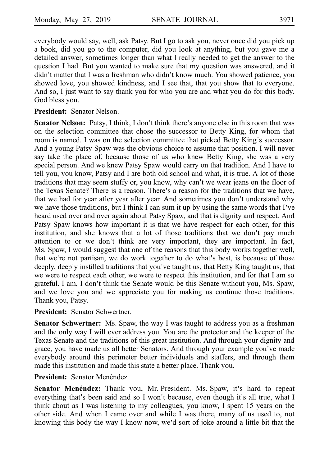everybody would say, well, ask Patsy. But I go to ask you, never once did you pick up a book, did you go to the computer, did you look at anything, but you gave me a detailed answer, sometimes longer than what I really needed to get the answer to the question I had. But you wanted to make sure that my question was answered, and it didn't matter that I was a freshman who didn't know much. You showed patience, you showed love, you showed kindness, and I see that, that you show that to everyone. And so, I just want to say thank you for who you are and what you do for this body. God bless you.

**President:** Senator Nelson.

**Senator Nelson:** Patsy, I think, I don't think there's anyone else in this room that was on the selection committee that chose the successor to Betty King, for whom that room is named. I was on the selection committee that picked Betty King's successor. And a young Patsy Spaw was the obvious choice to assume that position. I will never say take the place of, because those of us who knew Betty King, she was a very special person. And we knew Patsy Spaw would carry on that tradition. And I have to tell you, you know, Patsy and I are both old school and what, it is true. A lot of those traditions that may seem stuffy or, you know, why can't we wear jeans on the floor of the Texas Senate? There is a reason. There's a reason for the traditions that we have, that we had for year after year after year. And sometimes you don't understand why we have those traditions, but I think I can sum it up by using the same words that I've heard used over and over again about Patsy Spaw, and that is dignity and respect. And Patsy Spaw knows how important it is that we have respect for each other, for this institution, and she knows that a lot of those traditions that we don't pay much attention to or we don't think are very important, they are important. In fact, Ms. Spaw, I would suggest that one of the reasons that this body works together well, that we're not partisan, we do work together to do what's best, is because of those deeply, deeply instilled traditions that you've taught us, that Betty King taught us, that we were to respect each other, we were to respect this institution, and for that I am so grateful. I am, I don't think the Senate would be this Senate without you, Ms. Spaw, and we love you and we appreciate you for making us continue those traditions. Thank you, Patsy.

**President:** Senator Schwertner.

**Senator Schwertner:** Ms. Spaw, the way I was taught to address you as a freshman and the only way I will ever address you. You are the protector and the keeper of the Texas Senate and the traditions of this great institution. And through your dignity and grace, you have made us all better Senators. And through your example you ve made ' everybody around this perimeter better individuals and staffers, and through them made this institution and made this state a better place. Thank you.

**President:** Senator Menéndez.

Senator Menéndez: Thank you, Mr. President. Ms. Spaw, it's hard to repeat everything that's been said and so I won't because, even though it's all true, what I think about as I was listening to my colleagues, you know, I spent 15 years on the other side. And when I came over and while I was there, many of us used to, not knowing this body the way I know now, we'd sort of joke around a little bit that the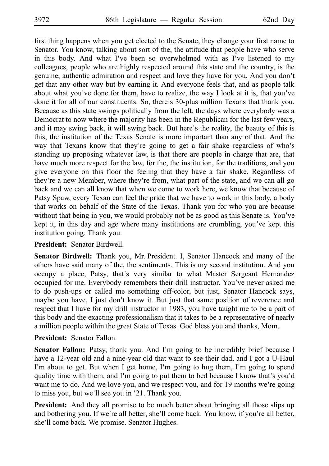first thing happens when you get elected to the Senate, they change your first name to Senator. You know, talking about sort of the, the attitude that people have who serve in this body. And what I've been so overwhelmed with as I've listened to my colleagues, people who are highly respected around this state and the country, is the genuine, authentic admiration and respect and love they have for you. And you don t' get that any other way but by earning it. And everyone feels that, and as people talk about what you've done for them, have to realize, the way I look at it is, that you've done it for all of our constituents. So, there's 30-plus million Texans that thank you. Because as this state swings politically from the left, the days where everybody was a Democrat to now where the majority has been in the Republican for the last few years, and it may swing back, it will swing back. But here's the reality, the beauty of this is this, the institution of the Texas Senate is more important than any of that. And the way that Texans know that they're going to get a fair shake regardless of who's standing up proposing whatever law, is that there are people in charge that are, that have much more respect for the law, for the, the institution, for the traditions, and you give everyone on this floor the feeling that they have a fair shake. Regardless of they're a new Member, where they're from, what part of the state, and we can all go back and we can all know that when we come to work here, we know that because of Patsy Spaw, every Texan can feel the pride that we have to work in this body, a body that works on behalf of the State of the Texas. Thank you for who you are because without that being in you, we would probably not be as good as this Senate is. You've kept it, in this day and age where many institutions are crumbling, you've kept this institution going. Thank you.

# **President:** Senator Birdwell.

**Senator Birdwell:** Thank you, Mr. President. I, Senator Hancock and many of the others have said many of the, the sentiments. This is my second institution. And you occupy a place, Patsy, that's very similar to what Master Sergeant Hernandez occupied for me. Everybody remembers their drill instructor. You've never asked me to do push-ups or called me something off-color, but just, Senator Hancock says, maybe you have, I just don't know it. But just that same position of reverence and respect that I have for my drill instructor in 1983, you have taught me to be a part of this body and the exacting professionalism that it takes to be a representative of nearly a million people within the great State of Texas. God bless you and thanks, Mom.

# President: Senator Fallon.

Senator Fallon: Patsy, thank you. And I'm going to be incredibly brief because I have a 12-year old and a nine-year old that want to see their dad, and I got a U-Haul I'm about to get. But when I get home, I'm going to hug them, I'm going to spend quality time with them, and I'm going to put them to bed because I know that's you'd want me to do. And we love you, and we respect you, and for 19 months we're going to miss you, but we'll see you in '21. Thank you.

**President:** And they all promise to be much better about bringing all those slips up and bothering you. If we're all better, she'll come back. You know, if you're all better, she'll come back. We promise. Senator Hughes.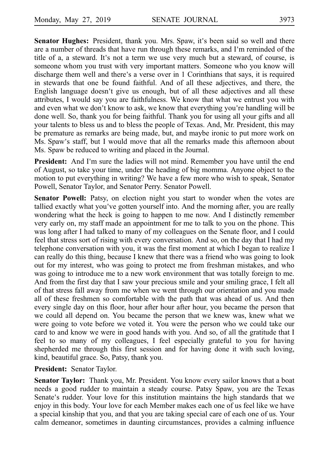**Senator Hughes:** President, thank you. Mrs. Spaw, it's been said so well and there are a number of threads that have run through these remarks, and I'm reminded of the title of a, a steward. It's not a term we use very much but a steward, of course, is someone whom you trust with very important matters. Someone who you know will discharge them well and there's a verse over in 1 Corinthians that says, it is required in stewards that one be found faithful. And of all these adjectives, and there, the English language doesn't give us enough, but of all these adjectives and all these attributes, I would say you are faithfulness. We know that what we entrust you with and even what we don't know to ask, we know that everything you're handling will be done well. So, thank you for being faithful. Thank you for using all your gifts and all your talents to bless us and to bless the people of Texas. And, Mr. President, this may be premature as remarks are being made, but, and maybe ironic to put more work on Ms. Spaw's staff, but I would move that all the remarks made this afternoon about Ms. Spaw be reduced to writing and placed in the Journal.

President: And I'm sure the ladies will not mind. Remember you have until the end of August, so take your time, under the heading of big momma. Anyone object to the motion to put everything in writing? We have a few more who wish to speak, Senator Powell, Senator Taylor, and Senator Perry. Senator Powell.

**Senator Powell:** Patsy, on election night you start to wonder when the votes are tallied exactly what you've gotten yourself into. And the morning after, you are really wondering what the heck is going to happen to me now. And I distinctly remember very early on, my staff made an appointment for me to talk to you on the phone. This was long after I had talked to many of my colleagues on the Senate floor, and I could feel that stress sort of rising with every conversation. And so, on the day that I had my telephone conversation with you, it was the first moment at which I began to realize I can really do this thing, because I knew that there was a friend who was going to look out for my interest, who was going to protect me from freshman mistakes, and who was going to introduce me to a new work environment that was totally foreign to me. And from the first day that I saw your precious smile and your smiling grace, I felt all of that stress fall away from me when we went through our orientation and you made all of these freshmen so comfortable with the path that was ahead of us. And then every single day on this floor, hour after hour after hour, you became the person that we could all depend on. You became the person that we knew was, knew what we were going to vote before we voted it. You were the person who we could take our card to and know we were in good hands with you. And so, of all the gratitude that I feel to so many of my colleagues, I feel especially grateful to you for having shepherded me through this first session and for having done it with such loving, kind, beautiful grace. So, Patsy, thank you.

**President:** Senator Taylor.

**Senator Taylor:** Thank you, Mr. President. You know every sailor knows that a boat needs a good rudder to maintain a steady course. Patsy Spaw, you are the Texas Senate's rudder. Your love for this institution maintains the high standards that we enjoy in this body. Your love for each Member makes each one of us feel like we have a special kinship that you, and that you are taking special care of each one of us. Your calm demeanor, sometimes in daunting circumstances, provides a calming influence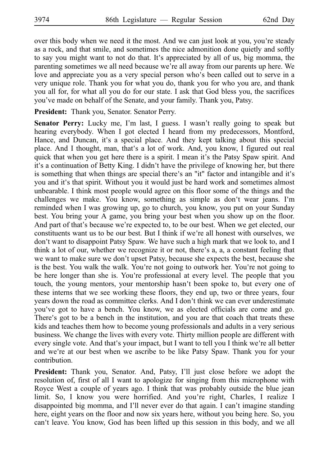over this body when we need it the most. And we can just look at you, you're steady as a rock, and that smile, and sometimes the nice admonition done quietly and softly to say you might want to not do that. It's appreciated by all of us, big momma, the parenting sometimes we all need because we're all away from our parents up here. We love and appreciate you as a very special person who's been called out to serve in a very unique role. Thank you for what you do, thank you for who you are, and thank you all for, for what all you do for our state. I ask that God bless you, the sacrifices you ve made on behalf of the Senate, and your family. Thank you, Patsy. '

President: Thank you, Senator. Senator Perry.

**Senator Perry:** Lucky me, I'm last, I guess. I wasn't really going to speak but hearing everybody. When I got elected I heard from my predecessors, Montford, Hance, and Duncan, it's a special place. And they kept talking about this special place. And I thought, man, that's a lot of work. And, you know, I figured out real quick that when you get here there is a spirit. I mean it's the Patsy Spaw spirit. And it's a continuation of Betty King. I didn't have the privilege of knowing her, but there is something that when things are special there's an "it" factor and intangible and it's you and it's that spirit. Without you it would just be hard work and sometimes almost unbearable. I think most people would agree on this floor some of the things and the challenges we make. You know, something as simple as don't wear jeans. I'm reminded when I was growing up, go to church, you know, you put on your Sunday best. You bring your A game, you bring your best when you show up on the floor. And part of that's because we're expected to, to be our best. When we get elected, our constituents want us to be our best. But I think if we're all honest with ourselves, we don't want to disappoint Patsy Spaw. We have such a high mark that we look to, and I think a lot of our, whether we recognize it or not, there's a, a, a constant feeling that we want to make sure we don't upset Patsy, because she expects the best, because she is the best. You walk the walk. You're not going to outwork her. You're not going to be here longer than she is. You're professional at every level. The people that you touch, the young mentors, your mentorship hasn't been spoke to, but every one of these interns that we see working these floors, they end up, two or three years, four years down the road as committee clerks. And I don't think we can ever underestimate you've got to have a bench. You know, we as elected officials are come and go. There's got to be a bench in the institution, and you are that coach that treats these kids and teaches them how to become young professionals and adults in a very serious business. We change the lives with every vote. Thirty million people are different with every single vote. And that's your impact, but I want to tell you I think we're all better and we're at our best when we ascribe to be like Patsy Spaw. Thank you for your contribution.

President: Thank you, Senator. And, Patsy, I'll just close before we adopt the resolution of, first of all I want to apologize for singing from this microphone with Royce West a couple of years ago. I think that was probably outside the blue jean limit. So, I know you were horrified. And you're right, Charles, I realize I disappointed big momma, and I'll never ever do that again. I can't imagine standing here, eight years on the floor and now six years here, without you being here. So, you can't leave. You know, God has been lifted up this session in this body, and we all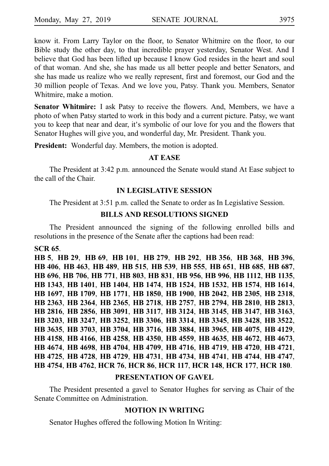know it. From Larry Taylor on the floor, to Senator Whitmire on the floor, to our Bible study the other day, to that incredible prayer yesterday, Senator West. And I believe that God has been lifted up because I know God resides in the heart and soul of that woman. And she, she has made us all better people and better Senators, and she has made us realize who we really represent, first and foremost, our God and the 30 million people of Texas. And we love you, Patsy. Thank you. Members, Senator Whitmire, make a motion.

**Senator Whitmire:** I ask Patsy to receive the flowers. And, Members, we have a photo of when Patsy started to work in this body and a current picture. Patsy, we want you to keep that near and dear, it's symbolic of our love for you and the flowers that Senator Hughes will give you, and wonderful day, Mr. President. Thank you.

**President:** Wonderful day. Members, the motion is adopted.

### **AT EASE**

The President at 3:42 p.m. announced the Senate would stand At Ease subject to the call of the Chair.

### **IN LEGISLATIVE SESSION**

The President at 3:51 p.m. called the Senate to order as In Legislative Session.

# **BILLS AND RESOLUTIONS SIGNED**

The President announced the signing of the following enrolled bills and resolutions in the presence of the Senate after the captions had been read:

### **SCR**i**65**.

**HB**i**5**, **HB**i**29**, **HB**i**69**, **HB**i**101**, **HB**i**279**, **HB**i**292**, **HB**i**356**, **HB**i**368**, **HB**i**396**, **HB**i**406**, **HB**i**463**, **HB**i**489**, **HB**i**515**, **HB**i**539**, **HB**i**555**, **HB**i**651**, **HB**i**685**, **HB**i**687**, **HB**i**696**, **HB**i**706**, **HB**i**771**, **HB**i**803**, **HB**i**831**, **HB**i**956**, **HB**i**996**, **HB**i**1112**, **HB**i**1135**, **HB**i**1343**, **HB**i**1401**, **HB**i**1404**, **HB**i**1474**, **HB**i**1524**, **HB**i**1532**, **HB**i**1574**, **HB**i**1614**, **HB**i**1697**, **HB**i**1709**, **HB**i**1771**, **HB**i**1850**, **HB**i**1900**, **HB**i**2042**, **HB**i**2305**, **HB**i**2318**, **HB**i**2363**, **HB**i**2364**, **HB**i**2365**, **HB**i**2718**, **HB**i**2757**, **HB**i**2794**, **HB**i**2810**, **HB**i**2813**, **HB**i**2816**, **HB**i**2856**, **HB**i**3091**, **HB**i**3117**, **HB**i**3124**, **HB**i**3145**, **HB**i**3147**, **HB**i**3163**, **HB**i**3203**, **HB**i**3247**, **HB**i**3252**, **HB**i**3306**, **HB**i**3314**, **HB**i**3345**, **HB**i**3428**, **HB**i**3522**, **HB**i**3635**, **HB**i**3703**, **HB**i**3704**, **HB**i**3716**, **HB**i**3884**, **HB**i**3965**, **HB**i**4075**, **HB**i**4129**, **HB**i**4158**, **HB**i**4166**, **HB**i**4258**, **HB**i**4350**, **HB**i**4559**, **HB**i**4635**, **HB**i**4672**, **HB**i**4673**, **HB**i**4674**, **HB**i**4698**, **HB**i**4704**, **HB**i**4709**, **HB**i**4716**, **HB**i**4719**, **HB**i**4720**, **HB**i**4721**, **HB**i**4725**, **HB**i**4728**, **HB**i**4729**, **HB**i**4731**, **HB**i**4734**, **HB**i**4741**, **HB**i**4744**, **HB**i**4747**, **HB**i**4754**, **HB**i**4762**, **HCR**i**76**, **HCR**i**86**, **HCR**i**117**, **HCR**i**148**, **HCR**i**177**, **HCR**i**180**.

### **PRESENTATION OF GAVEL**

The President presented a gavel to Senator Hughes for serving as Chair of the Senate Committee on Administration.

# **MOTION IN WRITING**

Senator Hughes offered the following Motion In Writing: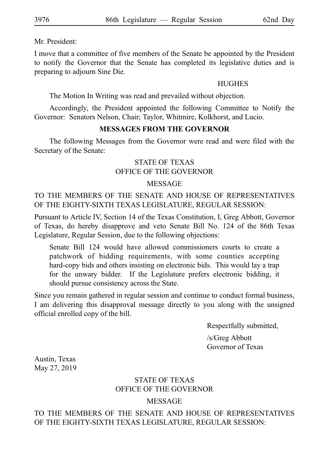Mr. President:

I move that a committee of five members of the Senate be appointed by the President to notify the Governor that the Senate has completed its legislative duties and is preparing to adjourn Sine Die.

# **HUGHES**

The Motion In Writing was read and prevailed without objection.

Accordingly, the President appointed the following Committee to Notify the Governor: Senators Nelson, Chair; Taylor, Whitmire, Kolkhorst, and Lucio.

# **MESSAGES FROM THE GOVERNOR**

The following Messages from the Governor were read and were filed with the Secretary of the Senate:

# STATE OF TEXAS OFFICE OF THE GOVERNOR

# MESSAGE

TO THE MEMBERS OF THE SENATE AND HOUSE OF REPRESENTATIVES OF THE EIGHTY-SIXTH TEXAS LEGISLATURE, REGULAR SESSION:

Pursuant to Article IV, Section 14 of the Texas Constitution, I, Greg Abbott, Governor of Texas, do hereby disapprove and veto Senate Bill No. 124 of the 86th Texas Legislature, Regular Session, due to the following objections:

Senate Bill 124 would have allowed commissioners courts to create a patchwork of bidding requirements, with some counties accepting hard-copy bids and others insisting on electronic bids. This would lay a trap for the unwary bidder. If the Legislature prefers electronic bidding, it should pursue consistency across the State.

Since you remain gathered in regular session and continue to conduct formal business, I am delivering this disapproval message directly to you along with the unsigned official enrolled copy of the bill.

Respectfully submitted,

/s/Greg Abbott Governor of Texas

Austin, Texas May 27, 2019

# STATE OF TEXAS OFFICE OF THE GOVERNOR

# MESSAGE

TO THE MEMBERS OF THE SENATE AND HOUSE OF REPRESENTATIVES OF THE EIGHTY-SIXTH TEXAS LEGISLATURE, REGULAR SESSION: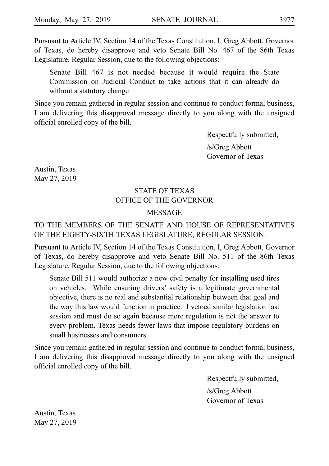Pursuant to Article IV, Section 14 of the Texas Constitution, I, Greg Abbott, Governor of Texas, do hereby disapprove and veto Senate Bill No. 467 of the 86th Texas Legislature, Regular Session, due to the following objections:

Senate Bill 467 is not needed because it would require the State Commission on Judicial Conduct to take actions that it can already do without a statutory change

Since you remain gathered in regular session and continue to conduct formal business, I am delivering this disapproval message directly to you along with the unsigned official enrolled copy of the bill.

Respectfully submitted,

/s/Greg Abbott Governor of Texas

Austin, Texas May 27, 2019

# STATE OF TEXAS OFFICE OF THE GOVERNOR

# MESSAGE

# TO THE MEMBERS OF THE SENATE AND HOUSE OF REPRESENTATIVES OF THE EIGHTY-SIXTH TEXAS LEGISLATURE, REGULAR SESSION:

Pursuant to Article IV, Section 14 of the Texas Constitution, I, Greg Abbott, Governor of Texas, do hereby disapprove and veto Senate Bill No. 511 of the 86th Texas Legislature, Regular Session, due to the following objections:

Senate Bill 511 would authorize a new civil penalty for installing used tires on vehicles. While ensuring drivers' safety is a legitimate governmental objective, there is no real and substantial relationship between that goal and the way this law would function in practice. I vetoed similar legislation last session and must do so again because more regulation is not the answer to every problem. Texas needs fewer laws that impose regulatory burdens on small businesses and consumers.

Since you remain gathered in regular session and continue to conduct formal business, I am delivering this disapproval message directly to you along with the unsigned official enrolled copy of the bill.

Respectfully submitted,

/s/Greg Abbott Governor of Texas

Austin, Texas May 27, 2019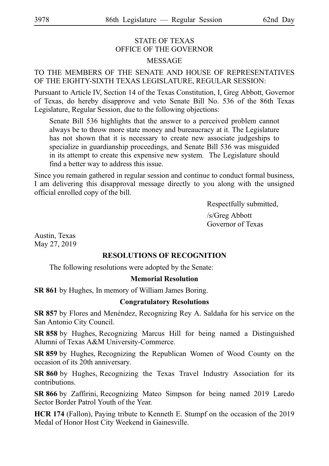# STATE OF TEXAS OFFICE OF THE GOVERNOR MESSAGE

# TO THE MEMBERS OF THE SENATE AND HOUSE OF REPRESENTATIVES OF THE EIGHTY-SIXTH TEXAS LEGISLATURE, REGULAR SESSION:

Pursuant to Article IV, Section 14 of the Texas Constitution, I, Greg Abbott, Governor of Texas, do hereby disapprove and veto Senate Bill No. 536 of the 86th Texas Legislature, Regular Session, due to the following objections:

Senate Bill 536 highlights that the answer to a perceived problem cannot always be to throw more state money and bureaucracy at it. The Legislature has not shown that it is necessary to create new associate judgeships to specialize in guardianship proceedings, and Senate Bill 536 was misguided in its attempt to create this expensive new system. The Legislature should find a better way to address this issue.

Since you remain gathered in regular session and continue to conduct formal business, I am delivering this disapproval message directly to you along with the unsigned official enrolled copy of the bill.

Respectfully submitted,

/s/Greg Abbott Governor of Texas

Austin, Texas May 27, 2019

# **RESOLUTIONS OF RECOGNITION**

The following resolutions were adopted by the Senate:

### **Memorial Resolution**

**SR 861** by Hughes, In memory of William James Boring.

### **Congratulatory Resolutions**

**SR 857** by Flores and Menéndez, Recognizing Rey A. Saldaña for his service on the San Antonio City Council.

**SR 858** by Hughes, Recognizing Marcus Hill for being named a Distinguished Alumni of Texas A&M University-Commerce.

**SR 859** by Hughes, Recognizing the Republican Women of Wood County on the occasion of its 20th anniversary.

**SR 860** by Hughes, Recognizing the Texas Travel Industry Association for its contributions.

**SR 866** by Zaffirini, Recognizing Mateo Simpson for being named 2019 Laredo Sector Border Patrol Youth of the Year.

**HCR 174** (Fallon), Paying tribute to Kenneth E. Stumpf on the occasion of the 2019 Medal of Honor Host City Weekend in Gainesville.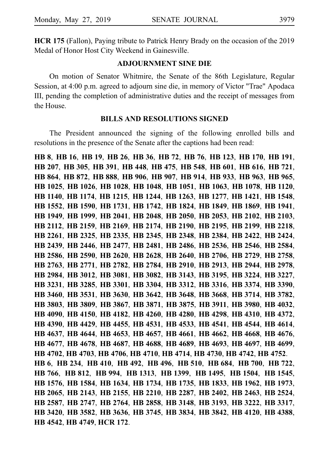**HCR 175** (Fallon), Paying tribute to Patrick Henry Brady on the occasion of the 2019 Medal of Honor Host City Weekend in Gainesville.

### **ADJOURNMENT SINE DIE**

On motion of Senator Whitmire, the Senate of the 86th Legislature, Regular Session, at 4:00 p.m. agreed to adjourn sine die, in memory of Victor "Trae" Apodaca III, pending the completion of administrative duties and the receipt of messages from the House.

### **BILLS AND RESOLUTIONS SIGNED**

The President announced the signing of the following enrolled bills and resolutions in the presence of the Senate after the captions had been read:

**HB**i**8**, **HB**i**16**, **HB**i**19**, **HB**i**26**, **HB**i**36**, **HB**i**72**, **HB**i**76**, **HB**i**123**, **HB**i**170**, **HB**i**191**, **HB**i**207**, **HB**i**305**, **HB**i**391**, **HB**i**448**, **HB**i**475**, **HB**i**548**, **HB**i**601**, **HB**i**616**, **HB**i**721**, **HB**i**864**, **HB**i**872**, **HB**i**888**, **HB**i**906**, **HB**i**907**, **HB**i**914**, **HB**i**933**, **HB**i**963**, **HB**i**965**, **HB**i**1025**, **HB**i**1026**, **HB**i**1028**, **HB**i**1048**, **HB**i**1051**, **HB**i**1063**, **HB**i**1078**, **HB**i**1120**, **HB**i**1140**, **HB**i**1174**, **HB**i**1215**, **HB**i**1244**, **HB**i**1263**, **HB**i**1277**, **HB**i**1421**, **HB**i**1548**, **HB**i**1552**, **HB**i**1590**, **HB**i**1731**, **HB**i**1742**, **HB**i**1824**, **HB**i**1849**, **HB**i**1869**, **HB**i**1941**, **HB**i**1949**, **HB**i**1999**, **HB**i**2041**, **HB**i**2048**, **HB**i**2050**, **HB**i**2053**, **HB**i**2102**, **HB**i**2103**, **HB**i**2112**, **HB**i**2159**, **HB**i**2169**, **HB**i**2174**, **HB**i**2190**, **HB**i**2195**, **HB**i**2199**, **HB**i**2218**, **HB**i**2261**, **HB**i**2325**, **HB**i**2335**, **HB**i**2345**, **HB**i**2348**, **HB**i**2384**, **HB**i**2422**, **HB**i**2424**, **HB**i**2439**, **HB**i**2446**, **HB**i**2477**, **HB**i**2481**, **HB**i**2486**, **HB**i**2536**, **HB**i**2546**, **HB**i**2584**, **HB**i**2586**, **HB**i**2590**, **HB**i**2620**, **HB**i**2628**, **HB**i**2640**, **HB**i**2706**, **HB**i**2729**, **HB**i**2758**, **HB**i**2763**, **HB**i**2771**, **HB**i**2782**, **HB**i**2784**, **HB**i**2910**, **HB**i**2913**, **HB**i**2944**, **HB**i**2978**, **HB**i**2984**, **HB**i**3012**, **HB**i**3081**, **HB**i**3082**, **HB**i**3143**, **HB**i**3195**, **HB**i**3224**, **HB**i**3227**, **HB**i**3231**, **HB**i**3285**, **HB**i**3301**, **HB**i**3304**, **HB**i**3312**, **HB**i**3316**, **HB**i**3374**, **HB**i**3390**, **HB**i**3460**, **HB**i**3531**, **HB**i**3630**, **HB**i**3642**, **HB**i**3648**, **HB**i**3668**, **HB**i**3714**, **HB**i**3782**, **HB**i**3803**, **HB**i**3809**, **HB**i**3867**, **HB**i**3871**, **HB**i**3875**, **HB**i**3911**, **HB**i**3980**, **HB**i**4032**, **HB**i**4090**, **HB**i**4150**, **HB**i**4182**, **HB**i**4260**, **HB**i**4280**, **HB**i**4298**, **HB**i**4310**, **HB**i**4372**, **HB**i**4390**, **HB**i**4429**, **HB**i**4455**, **HB**i**4531**, **HB**i**4533**, **HB**i**4541**, **HB**i**4544**, **HB**i**4614**, **HB**i**4637**, **HB**i**4644**, **HB**i**4653**, **HB**i**4657**, **HB**i**4661**, **HB**i**4662**, **HB**i**4668**, **HB**i**4676**, **HB**i**4677**, **HB**i**4678**, **HB**i**4687**, **HB**i**4688**, **HB**i**4689**, **HB**i**4693**, **HB**i**4697**, **HB**i**4699**, **HB**i**4702**, **HB**i**4703**, **HB**i**4706**, **HB**i**4710**, **HB**i**4714**, **HB**i**4730**, **HB**i**4742**, **HB**i**4752**. **HB**i**6**, **HB**i**234**, **HB**i**410**, **HB**i**492**, **HB**i**496**, **HB**i**510**, **HB**i**684**, **HB**i**700**, **HB**i**722**, **HB**i**766**, **HB**i**812**, **HB**i**994**, **HB**i**1313**, **HB**i**1399**, **HB**i**1495**, **HB**i**1504**, **HB**i**1545**, **HB**i**1576**, **HB**i**1584**, **HB**i**1634**, **HB**i**1734**, **HB**i**1735**, **HB**i**1833**, **HB**i**1962**, **HB**i**1973**, **HB**i**2065**, **HB**i**2143**, **HB**i**2155**, **HB**i**2210**, **HB**i**2287**, **HB**i**2402**, **HB**i**2463**, **HB**i**2524**, **HB**i**2587**, **HB**i**2747**, **HB**i**2764**, **HB**i**2858**, **HB**i**3148**, **HB**i**3193**, **HB**i**3222**, **HB**i**3317**, **HB**i**3420**, **HB**i**3582**, **HB**i**3636**, **HB**i**3745**, **HB**i**3834**, **HB**i**3842**, **HB**i**4120**, **HB**i**4388**, **HB**i**4542**, **HB**i**4749**, **HCR**i**172**.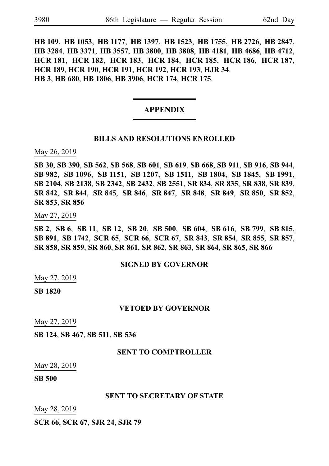**HB**i**109**, **HB**i**1053**, **HB**i**1177**, **HB**i**1397**, **HB**i**1523**, **HB**i**1755**, **HB**i**2726**, **HB**i**2847**, **HB**i**3284**, **HB**i**3371**, **HB**i**3557**, **HB**i**3800**, **HB**i**3808**, **HB**i**4181**, **HB**i**4686**, **HB**i**4712**, **HCR**i**181**, **HCR**i**182**, **HCR**i**183**, **HCR**i**184**, **HCR**i**185**, **HCR**i**186**, **HCR**i**187**, **HCR**i**189**, **HCR**i**190**, **HCR**i**191**, **HCR**i**192**, **HCR**i**193**, **HJR**i**34**. **HB**i**3**, **HB**i**680**, **HB**i**1806**, **HB**i**3906**, **HCR**i**174**, **HCR**i**175**.

### **APPENDIX**

### **BILLS AND RESOLUTIONS ENROLLED**

May 26, 2019

**SB**i**30**, **SB**i**390**, **SB**i**562**, **SB**i**568**, **SB**i**601**, **SB**i**619**, **SB**i**668**, **SB**i**911**, **SB**i**916**, **SB**i**944**, **SB**i**982**, **SB**i**1096**, **SB**i**1151**, **SB**i**1207**, **SB**i**1511**, **SB**i**1804**, **SB**i**1845**, **SB**i**1991**, **SB**i**2104**, **SB**i**2138**, **SB**i**2342**, **SB**i**2432**, **SB**i**2551**, **SR**i**834**, **SR**i**835**, **SR**i**838**, **SR**i**839**, **SR**i**842**, **SR**i**844**, **SR**i**845**, **SR**i**846**, **SR**i**847**, **SR**i**848**, **SR**i**849**, **SR**i**850**, **SR**i**852**, **SR**i**853**, **SR**i**856**

May 27, 2019

**SB**i**2**, **SB**i**6**, **SB**i**11**, **SB**i**12**, **SB**i**20**, **SB**i**500**, **SB**i**604**, **SB**i**616**, **SB**i**799**, **SB**i**815**, **SB**i**891**, **SB**i**1742**, **SCR**i**65**, **SCR**i**66**, **SCR**i**67**, **SR**i**843**, **SR**i**854**, **SR**i**855**, **SR**i**857**, **SR**i**858**, **SR**i**859**, **SR**i**860**, **SR**i**861**, **SR**i**862**, **SR**i**863**, **SR**i**864**, **SR**i**865**, **SR**i**866**

### **SIGNED BY GOVERNOR**

May 27, 2019

**SB**i**1820**

### **VETOED BY GOVERNOR**

May 27, 2019

**SB**i**124**, **SB**i**467**, **SB**i**511**, **SB**i**536**

### **SENT TO COMPTROLLER**

May 28, 2019

**SB**i**500**

### **SENT TO SECRETARY OF STATE**

May 28, 2019

**SCR**i**66**, **SCR**i**67**, **SJR**i**24**, **SJR**i**79**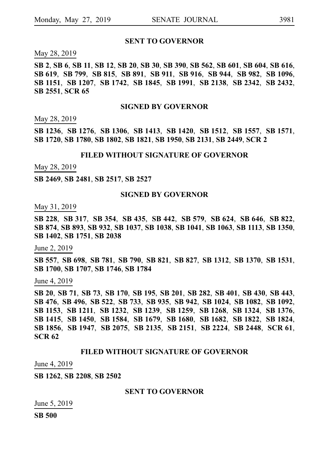### **SENT TO GOVERNOR**

May 28, 2019

SB 2, SB 6, SB 11, SB 12, SB 20, SB 30, SB 390, SB 562, SB 601, SB 604, SB 616, **SB**i**619**, **SB**i**799**, **SB**i**815**, **SB**i**891**, **SB**i**911**, **SB**i**916**, **SB**i**944**, **SB**i**982**, **SB**i**1096**, **SB**i**1151**, **SB**i**1207**, **SB**i**1742**, **SB**i**1845**, **SB**i**1991**, **SB**i**2138**, **SB**i**2342**, **SB**i**2432**, **SB**i**2551**, **SCR**i**65**

### **SIGNED BY GOVERNOR**

May 28, 2019

**SB**i**1236**, **SB**i**1276**, **SB**i**1306**, **SB**i**1413**, **SB**i**1420**, **SB**i**1512**, **SB**i**1557**, **SB**i**1571**, **SB**i**1720**, **SB**i**1780**, **SB**i**1802**, **SB**i**1821**, **SB**i**1950**, **SB**i**2131**, **SB**i**2449**, **SCR**i**2**

### **FILED WITHOUT SIGNATURE OF GOVERNOR**

May 28, 2019

**SB**i**2469**, **SB**i**2481**, **SB**i**2517**, **SB**i**2527**

### **SIGNED BY GOVERNOR**

May 31, 2019

**SB**i**228**, **SB**i**317**, **SB**i**354**, **SB**i**435**, **SB**i**442**, **SB**i**579**, **SB**i**624**, **SB**i**646**, **SB**i**822**, **SB**i**874**, **SB**i**893**, **SB**i**932**, **SB**i**1037**, **SB**i**1038**, **SB**i**1041**, **SB**i**1063**, **SB**i**1113**, **SB**i**1350**, **SB**i**1402**, **SB**i**1751**, **SB**i**2038**

June 2, 2019

**SB**i**557**, **SB**i**698**, **SB**i**781**, **SB**i**790**, **SB**i**821**, **SB**i**827**, **SB**i**1312**, **SB**i**1370**, **SB**i**1531**, **SB**i**1700**, **SB**i**1707**, **SB**i**1746**, **SB**i**1784**

June 4, 2019

**SB**i**20**, **SB**i**71**, **SB**i**73**, **SB**i**170**, **SB**i**195**, **SB**i**201**, **SB**i**282**, **SB**i**401**, **SB**i**430**, **SB**i**443**, **SB**i**476**, **SB**i**496**, **SB**i**522**, **SB**i**733**, **SB**i**935**, **SB**i**942**, **SB**i**1024**, **SB**i**1082**, **SB**i**1092**, **SB**i**1153**, **SB**i**1211**, **SB**i**1232**, **SB**i**1239**, **SB**i**1259**, **SB**i**1268**, **SB**i**1324**, **SB**i**1376**, **SB**i**1415**, **SB**i**1450**, **SB**i**1584**, **SB**i**1679**, **SB**i**1680**, **SB**i**1682**, **SB**i**1822**, **SB**i**1824**, **SB**i**1856**, **SB**i**1947**, **SB**i**2075**, **SB**i**2135**, **SB**i**2151**, **SB**i**2224**, **SB**i**2448**, **SCR**i**61**, **SCR**i**62**

### **FILED WITHOUT SIGNATURE OF GOVERNOR**

June 4, 2019

**SB**i**1262**, **SB**i**2208**, **SB**i**2502**

### **SENT TO GOVERNOR**

June 5, 2019

**SB**i**500**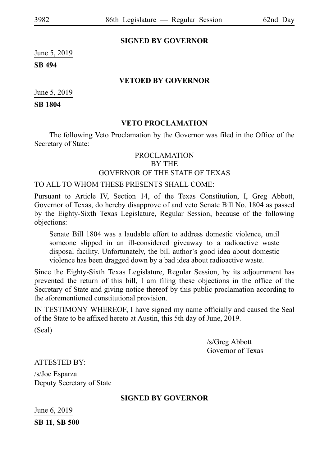# **SIGNED BY GOVERNOR**

June 5, 2019

**SB**i**494**

# **VETOED BY GOVERNOR**

June 5, 2019

**SB**i**1804**

# **VETO PROCLAMATION**

The following Veto Proclamation by the Governor was filed in the Office of the Secretary of State:

# PROCLAMATION

BY THE

# GOVERNOR OF THE STATE OF TEXAS

# TO ALL TO WHOM THESE PRESENTS SHALL COME:

Pursuant to Article IV, Section 14, of the Texas Constitution, I, Greg Abbott, Governor of Texas, do hereby disapprove of and veto Senate Bill No. 1804 as passed by the Eighty-Sixth Texas Legislature, Regular Session, because of the following objections:

Senate Bill 1804 was a laudable effort to address domestic violence, until someone slipped in an ill-considered giveaway to a radioactive waste disposal facility. Unfortunately, the bill author's good idea about domestic violence has been dragged down by a bad idea about radioactive waste.

Since the Eighty-Sixth Texas Legislature, Regular Session, by its adjournment has prevented the return of this bill, I am filing these objections in the office of the Secretary of State and giving notice thereof by this public proclamation according to the aforementioned constitutional provision.

IN TESTIMONY WHEREOF, I have signed my name officially and caused the Seal of the State to be affixed hereto at Austin, this 5th day of June, 2019.

(Seal)

/s/Greg Abbott Governor of Texas

ATTESTED BY:

/s/Joe Esparza Deputy Secretary of State

# **SIGNED BY GOVERNOR**

June 6, 2019 **SB**i**11**, **SB**i**500**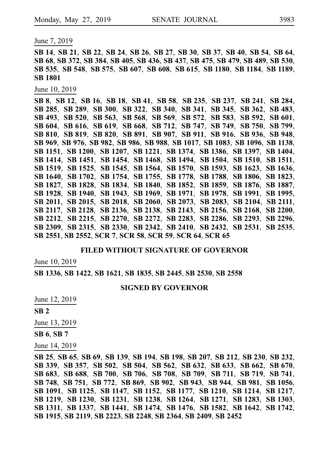June 7, 2019

SB 14, SB 21, SB 22, SB 24, SB 26, SB 27, SB 30, SB 37, SB 40, SB 54, SB 64, **SB**i**68**, **SB**i**372**, **SB**i**384**, **SB**i**405**, **SB**i**436**, **SB**i**437**, **SB**i**475**, **SB**i**479**, **SB**i**489**, **SB**i**530**, **SB**i**535**, **SB**i**548**, **SB**i**575**, **SB**i**607**, **SB**i**608**, **SB**i**615**, **SB**i**1180**, **SB**i**1184**, **SB**i**1189**, **SB**i**1801**

June 10, 2019

**SB**i**8**, **SB**i**12**, **SB**i**16**, **SB**i**18**, **SB**i**41**, **SB**i**58**, **SB**i**235**, **SB**i**237**, **SB**i**241**, **SB**i**284**, **SB**i**285**, **SB**i**289**, **SB**i**300**, **SB**i**322**, **SB**i**340**, **SB**i**341**, **SB**i**345**, **SB**i**362**, **SB**i**483**, **SB**i**493**, **SB**i**520**, **SB**i**563**, **SB**i**568**, **SB**i**569**, **SB**i**572**, **SB**i**583**, **SB**i**592**, **SB**i**601**, **SB**i**604**, **SB**i**616**, **SB**i**619**, **SB**i**668**, **SB**i**712**, **SB**i**747**, **SB**i**749**, **SB**i**750**, **SB**i**799**, **SB**i**810**, **SB**i**819**, **SB**i**820**, **SB**i**891**, **SB**i**907**, **SB**i**911**, **SB**i**916**, **SB**i**936**, **SB**i**948**, **SB**i**969**, **SB**i**976**, **SB**i**982**, **SB**i**986**, **SB**i**988**, **SB**i**1017**, **SB**i**1083**, **SB**i**1096**, **SB**i**1138**, **SB**i**1151**, **SB**i**1200**, **SB**i**1207**, **SB**i**1221**, **SB**i**1374**, **SB**i**1386**, **SB**i**1397**, **SB**i**1404**, **SB**i**1414**, **SB**i**1451**, **SB**i**1454**, **SB**i**1468**, **SB**i**1494**, **SB**i**1504**, **SB**i**1510**, **SB**i**1511**, **SB**i**1519**, **SB**i**1525**, **SB**i**1545**, **SB**i**1564**, **SB**i**1570**, **SB**i**1593**, **SB**i**1623**, **SB**i**1636**, **SB**i**1640**, **SB**i**1702**, **SB**i**1754**, **SB**i**1755**, **SB**i**1778**, **SB**i**1788**, **SB**i**1806**, **SB**i**1823**, **SB**i**1827**, **SB**i**1828**, **SB**i**1834**, **SB**i**1840**, **SB**i**1852**, **SB**i**1859**, **SB**i**1876**, **SB**i**1887**, **SB**i**1928**, **SB**i**1940**, **SB**i**1943**, **SB**i**1969**, **SB**i**1971**, **SB**i**1978**, **SB**i**1991**, **SB**i**1995**, **SB**i**2011**, **SB**i**2015**, **SB**i**2018**, **SB**i**2060**, **SB**i**2073**, **SB**i**2083**, **SB**i**2104**, **SB**i**2111**, **SB**i**2117**, **SB**i**2128**, **SB**i**2136**, **SB**i**2138**, **SB**i**2143**, **SB**i**2156**, **SB**i**2168**, **SB**i**2200**, **SB**i**2212**, **SB**i**2215**, **SB**i**2270**, **SB**i**2272**, **SB**i**2283**, **SB**i**2286**, **SB**i**2293**, **SB**i**2296**, **SB**i**2309**, **SB**i**2315**, **SB**i**2330**, **SB**i**2342**, **SB**i**2410**, **SB**i**2432**, **SB**i**2531**, **SB**i**2535**, **SB**i**2551**, **SB**i**2552**, **SCR**i**7**, **SCR**i**58**, **SCR**i**59**, **SCR**i**64**, **SCR**i**65**

### **FILED WITHOUT SIGNATURE OF GOVERNOR**

June 10, 2019

**SB**i**1336**, **SB**i**1422**, **SB**i**1621**, **SB**i**1835**, **SB**i**2445**, **SB**i**2530**, **SB**i**2558**

### **SIGNED BY GOVERNOR**

June 12, 2019

**SB**i**2**

June 13, 2019

**SB**i**6**, **SB**i**7**

June 14, 2019

**SB**i**25**, **SB**i**65**, **SB**i**69**, **SB**i**139**, **SB**i**194**, **SB**i**198**, **SB**i**207**, **SB**i**212**, **SB**i**230**, **SB**i**232**, **SB**i**339**, **SB**i**357**, **SB**i**502**, **SB**i**504**, **SB**i**562**, **SB**i**632**, **SB**i**633**, **SB**i**662**, **SB**i**670**, **SB**i**683**, **SB**i**688**, **SB**i**700**, **SB**i**706**, **SB**i**708**, **SB**i**709**, **SB**i**711**, **SB**i**719**, **SB**i**741**, **SB**i**748**, **SB**i**751**, **SB**i**772**, **SB**i**869**, **SB**i**902**, **SB**i**943**, **SB**i**944**, **SB**i**981**, **SB**i**1056**, **SB**i**1091**, **SB**i**1125**, **SB**i**1147**, **SB**i**1152**, **SB**i**1177**, **SB**i**1210**, **SB**i**1214**, **SB**i**1217**, **SB**i**1219**, **SB**i**1230**, **SB**i**1231**, **SB**i**1238**, **SB**i**1264**, **SB**i**1271**, **SB**i**1283**, **SB**i**1303**, **SB**i**1311**, **SB**i**1337**, **SB**i**1441**, **SB**i**1474**, **SB**i**1476**, **SB**i**1582**, **SB**i**1642**, **SB**i**1742**, **SB**i**1915**, **SB**i**2119**, **SB**i**2223**, **SB**i**2248**, **SB**i**2364**, **SB**i**2409**, **SB**i**2452**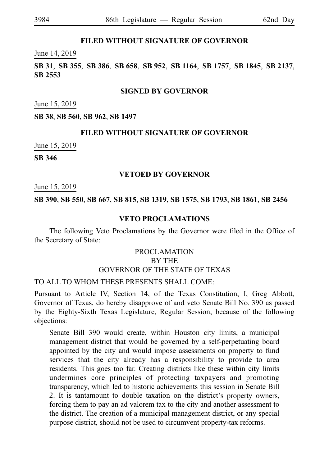# **FILED WITHOUT SIGNATURE OF GOVERNOR**

### June 14, 2019

**SB**i**31**, **SB**i**355**, **SB**i**386**, **SB**i**658**, **SB**i**952**, **SB**i**1164**, **SB**i**1757**, **SB**i**1845**, **SB**i**2137**, **SB**i**2553**

### **SIGNED BY GOVERNOR**

June 15, 2019

**SB**i**38**, **SB**i**560**, **SB**i**962**, **SB**i**1497**

### **FILED WITHOUT SIGNATURE OF GOVERNOR**

June 15, 2019

**SB**i**346**

# **VETOED BY GOVERNOR**

June 15, 2019

### **SB**i**390**, **SB**i**550**, **SB**i**667**, **SB**i**815**, **SB**i**1319**, **SB**i**1575**, **SB**i**1793**, **SB**i**1861**, **SB**i**2456**

### **VETO PROCLAMATIONS**

The following Veto Proclamations by the Governor were filed in the Office of the Secretary of State:

# PROCLAMATION BY THE GOVERNOR OF THE STATE OF TEXAS

# TO ALL TO WHOM THESE PRESENTS SHALL COME:

Pursuant to Article IV, Section 14, of the Texas Constitution, I, Greg Abbott, Governor of Texas, do hereby disapprove of and veto Senate Bill No. 390 as passed by the Eighty-Sixth Texas Legislature, Regular Session, because of the following objections:

Senate Bill 390 would create, within Houston city limits, a municipal management district that would be governed by a self-perpetuating board appointed by the city and would impose assessments on property to fund services that the city already has a responsibility to provide to area residents. This goes too far. Creating districts like these within city limits undermines core principles of protecting taxpayers and promoting transparency, which led to historic achievements this session in Senate Bill 2. It is tantamount to double taxation on the district's property owners, forcing them to pay an ad valorem tax to the city and another assessment to the district. The creation of a municipal management district, or any special purpose district, should not be used to circumvent property-tax reforms.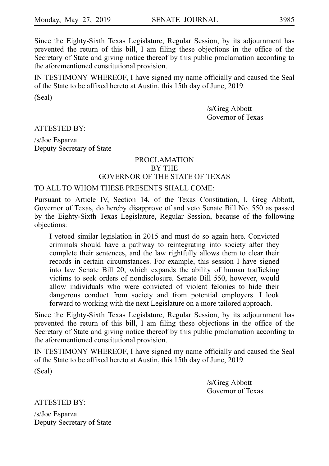Since the Eighty-Sixth Texas Legislature, Regular Session, by its adjournment has prevented the return of this bill, I am filing these objections in the office of the Secretary of State and giving notice thereof by this public proclamation according to the aforementioned constitutional provision.

IN TESTIMONY WHEREOF, I have signed my name officially and caused the Seal of the State to be affixed hereto at Austin, this 15th day of June, 2019.

(Seal)

/s/Greg Abbott Governor of Texas

ATTESTED BY:

/s/Joe Esparza Deputy Secretary of State

### PROCLAMATION BY THE GOVERNOR OF THE STATE OF TEXAS

### TO ALL TO WHOM THESE PRESENTS SHALL COME:

Pursuant to Article IV, Section 14, of the Texas Constitution, I, Greg Abbott, Governor of Texas, do hereby disapprove of and veto Senate Bill No. 550 as passed by the Eighty-Sixth Texas Legislature, Regular Session, because of the following objections:

I vetoed similar legislation in 2015 and must do so again here. Convicted criminals should have a pathway to reintegrating into society after they complete their sentences, and the law rightfully allows them to clear their records in certain circumstances. For example, this session I have signed into law Senate Bill 20, which expands the ability of human trafficking victims to seek orders of nondisclosure. Senate Bill 550, however, would allow individuals who were convicted of violent felonies to hide their dangerous conduct from society and from potential employers. I look forward to working with the next Legislature on a more tailored approach.

Since the Eighty-Sixth Texas Legislature, Regular Session, by its adjournment has prevented the return of this bill, I am filing these objections in the office of the Secretary of State and giving notice thereof by this public proclamation according to the aforementioned constitutional provision.

IN TESTIMONY WHEREOF, I have signed my name officially and caused the Seal of the State to be affixed hereto at Austin, this 15th day of June, 2019.

(Seal)

/s/Greg Abbott Governor of Texas

ATTESTED BY:

/s/Joe Esparza Deputy Secretary of State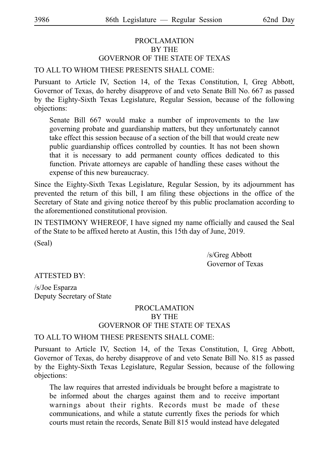# PROCLAMATION BY THE GOVERNOR OF THE STATE OF TEXAS

# TO ALL TO WHOM THESE PRESENTS SHALL COME:

Pursuant to Article IV, Section 14, of the Texas Constitution, I, Greg Abbott, Governor of Texas, do hereby disapprove of and veto Senate Bill No. 667 as passed by the Eighty-Sixth Texas Legislature, Regular Session, because of the following objections:

Senate Bill 667 would make a number of improvements to the law governing probate and guardianship matters, but they unfortunately cannot take effect this session because of a section of the bill that would create new public guardianship offices controlled by counties. It has not been shown that it is necessary to add permanent county offices dedicated to this function. Private attorneys are capable of handling these cases without the expense of this new bureaucracy.

Since the Eighty-Sixth Texas Legislature, Regular Session, by its adjournment has prevented the return of this bill, I am filing these objections in the office of the Secretary of State and giving notice thereof by this public proclamation according to the aforementioned constitutional provision.

IN TESTIMONY WHEREOF, I have signed my name officially and caused the Seal of the State to be affixed hereto at Austin, this 15th day of June, 2019.

(Seal)

/s/Greg Abbott Governor of Texas

ATTESTED BY:

/s/Joe Esparza Deputy Secretary of State

# PROCLAMATION BY THE GOVERNOR OF THE STATE OF TEXAS

# TO ALL TO WHOM THESE PRESENTS SHALL COME:

Pursuant to Article IV, Section 14, of the Texas Constitution, I, Greg Abbott, Governor of Texas, do hereby disapprove of and veto Senate Bill No. 815 as passed by the Eighty-Sixth Texas Legislature, Regular Session, because of the following objections:

The law requires that arrested individuals be brought before a magistrate to be informed about the charges against them and to receive important warnings about their rights. Records must be made of these communications, and while a statute currently fixes the periods for which courts must retain the records, Senate Bill 815 would instead have delegated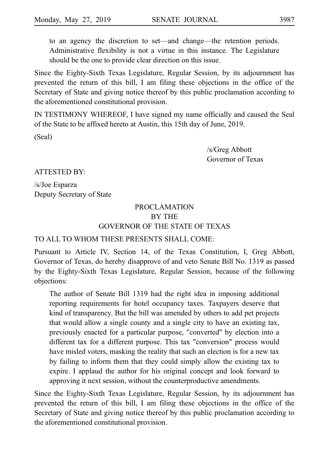to an agency the discretion to set—and change—the retention periods. Administrative flexibility is not a virtue in this instance. The Legislature should be the one to provide clear direction on this issue.

Since the Eighty-Sixth Texas Legislature, Regular Session, by its adjournment has prevented the return of this bill, I am filing these objections in the office of the Secretary of State and giving notice thereof by this public proclamation according to the aforementioned constitutional provision.

IN TESTIMONY WHEREOF, I have signed my name officially and caused the Seal of the State to be affixed hereto at Austin, this 15th day of June, 2019.

(Seal)

/s/Greg Abbott Governor of Texas

ATTESTED BY:

/s/Joe Esparza Deputy Secretary of State

# PROCLAMATION BY THE GOVERNOR OF THE STATE OF TEXAS

# TO ALL TO WHOM THESE PRESENTS SHALL COME:

Pursuant to Article IV, Section 14, of the Texas Constitution, I, Greg Abbott, Governor of Texas, do hereby disapprove of and veto Senate Bill No. 1319 as passed by the Eighty-Sixth Texas Legislature, Regular Session, because of the following objections:

The author of Senate Bill 1319 had the right idea in imposing additional reporting requirements for hotel occupancy taxes. Taxpayers deserve that kind of transparency. But the bill was amended by others to add pet projects that would allow a single county and a single city to have an existing tax, previously enacted for a particular purpose, "converted" by election into a different tax for a different purpose. This tax "conversion" process would have misled voters, masking the reality that such an election is for a new tax by failing to inform them that they could simply allow the existing tax to expire. I applaud the author for his original concept and look forward to approving it next session, without the counterproductive amendments.

Since the Eighty-Sixth Texas Legislature, Regular Session, by its adjournment has prevented the return of this bill, I am filing these objections in the office of the Secretary of State and giving notice thereof by this public proclamation according to the aforementioned constitutional provision.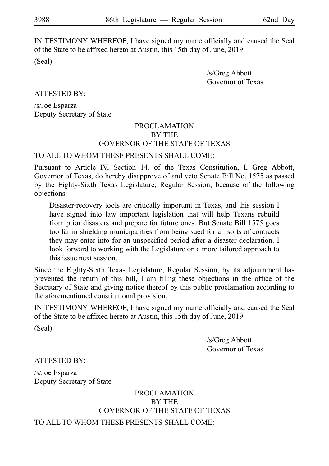IN TESTIMONY WHEREOF, I have signed my name officially and caused the Seal of the State to be affixed hereto at Austin, this 15th day of June, 2019.

(Seal)

/s/Greg Abbott Governor of Texas

ATTESTED BY:

/s/Joe Esparza Deputy Secretary of State

# PROCLAMATION BY THE GOVERNOR OF THE STATE OF TEXAS

# TO ALL TO WHOM THESE PRESENTS SHALL COME:

Pursuant to Article IV, Section 14, of the Texas Constitution, I, Greg Abbott, Governor of Texas, do hereby disapprove of and veto Senate Bill No. 1575 as passed by the Eighty-Sixth Texas Legislature, Regular Session, because of the following objections:

Disaster-recovery tools are critically important in Texas, and this session I have signed into law important legislation that will help Texans rebuild from prior disasters and prepare for future ones. But Senate Bill 1575 goes too far in shielding municipalities from being sued for all sorts of contracts they may enter into for an unspecified period after a disaster declaration. I look forward to working with the Legislature on a more tailored approach to this issue next session.

Since the Eighty-Sixth Texas Legislature, Regular Session, by its adjournment has prevented the return of this bill, I am filing these objections in the office of the Secretary of State and giving notice thereof by this public proclamation according to the aforementioned constitutional provision.

IN TESTIMONY WHEREOF, I have signed my name officially and caused the Seal of the State to be affixed hereto at Austin, this 15th day of June, 2019.

(Seal)

/s/Greg Abbott Governor of Texas

ATTESTED BY:

/s/Joe Esparza Deputy Secretary of State

# PROCLAMATION BY THE GOVERNOR OF THE STATE OF TEXAS

TO ALL TO WHOM THESE PRESENTS SHALL COME: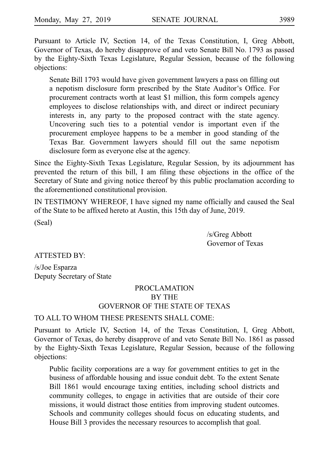Pursuant to Article IV, Section 14, of the Texas Constitution, I, Greg Abbott, Governor of Texas, do hereby disapprove of and veto Senate Bill No. 1793 as passed by the Eighty-Sixth Texas Legislature, Regular Session, because of the following objections:

Senate Bill 1793 would have given government lawyers a pass on filling out a nepotism disclosure form prescribed by the State Auditor's Office. For procurement contracts worth at least \$1 million, this form compels agency employees to disclose relationships with, and direct or indirect pecuniary interests in, any party to the proposed contract with the state agency. Uncovering such ties to a potential vendor is important even if the procurement employee happens to be a member in good standing of the Texas Bar. Government lawyers should fill out the same nepotism disclosure form as everyone else at the agency.

Since the Eighty-Sixth Texas Legislature, Regular Session, by its adjournment has prevented the return of this bill, I am filing these objections in the office of the Secretary of State and giving notice thereof by this public proclamation according to the aforementioned constitutional provision.

IN TESTIMONY WHEREOF, I have signed my name officially and caused the Seal of the State to be affixed hereto at Austin, this 15th day of June, 2019.

(Seal)

/s/Greg Abbott Governor of Texas

ATTESTED BY:

/s/Joe Esparza Deputy Secretary of State

# PROCLAMATION BY THE GOVERNOR OF THE STATE OF TEXAS

TO ALL TO WHOM THESE PRESENTS SHALL COME:

Pursuant to Article IV, Section 14, of the Texas Constitution, I, Greg Abbott, Governor of Texas, do hereby disapprove of and veto Senate Bill No. 1861 as passed by the Eighty-Sixth Texas Legislature, Regular Session, because of the following objections:

Public facility corporations are a way for government entities to get in the business of affordable housing and issue conduit debt. To the extent Senate Bill 1861 would encourage taxing entities, including school districts and community colleges, to engage in activities that are outside of their core missions, it would distract those entities from improving student outcomes. Schools and community colleges should focus on educating students, and House Bill 3 provides the necessary resources to accomplish that goal.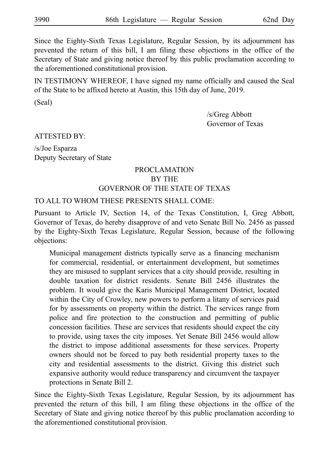Since the Eighty-Sixth Texas Legislature, Regular Session, by its adjournment has prevented the return of this bill, I am filing these objections in the office of the Secretary of State and giving notice thereof by this public proclamation according to the aforementioned constitutional provision.

IN TESTIMONY WHEREOF, I have signed my name officially and caused the Seal of the State to be affixed hereto at Austin, this 15th day of June, 2019.

(Seal)

/s/Greg Abbott Governor of Texas

ATTESTED BY:

/s/Joe Esparza Deputy Secretary of State

# PROCLAMATION BY THE GOVERNOR OF THE STATE OF TEXAS

TO ALL TO WHOM THESE PRESENTS SHALL COME:

Pursuant to Article IV, Section 14, of the Texas Constitution, I, Greg Abbott, Governor of Texas, do hereby disapprove of and veto Senate Bill No. 2456 as passed by the Eighty-Sixth Texas Legislature, Regular Session, because of the following objections:

Municipal management districts typically serve as a financing mechanism for commercial, residential, or entertainment development, but sometimes they are misused to supplant services that a city should provide, resulting in double taxation for district residents. Senate Bill 2456 illustrates the problem. It would give the Karis Municipal Management District, located within the City of Crowley, new powers to perform a litany of services paid for by assessments on property within the district. The services range from police and fire protection to the construction and permitting of public concession facilities. These are services that residents should expect the city to provide, using taxes the city imposes. Yet Senate Bill 2456 would allow the district to impose additional assessments for these services. Property owners should not be forced to pay both residential property taxes to the city and residential assessments to the district. Giving this district such expansive authority would reduce transparency and circumvent the taxpayer protections in Senate Bill 2.

Since the Eighty-Sixth Texas Legislature, Regular Session, by its adjournment has prevented the return of this bill, I am filing these objections in the office of the Secretary of State and giving notice thereof by this public proclamation according to the aforementioned constitutional provision.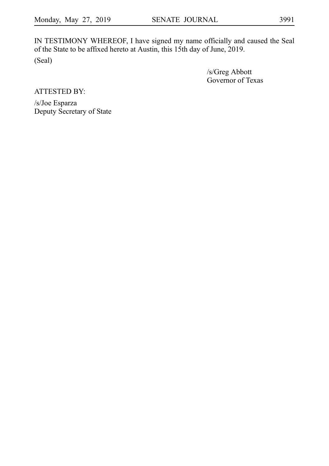IN TESTIMONY WHEREOF, I have signed my name officially and caused the Seal of the State to be affixed hereto at Austin, this 15th day of June, 2019. (Seal)

> /s/Greg Abbott Governor of Texas

ATTESTED BY:

/s/Joe Esparza Deputy Secretary of State